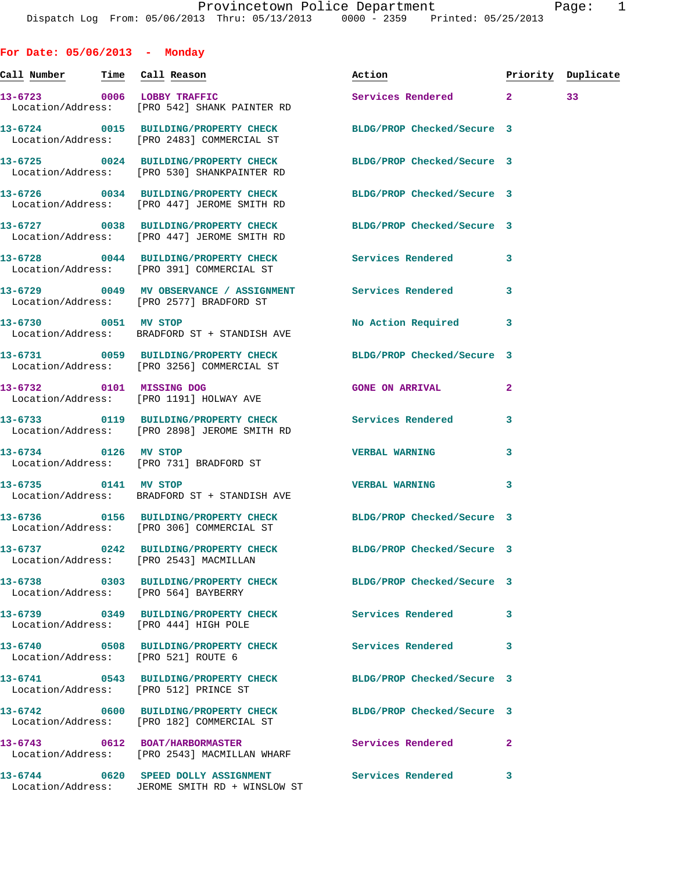**For Date: 05/06/2013 - Monday**

**Call Number Time Call Reason Action Priority Duplicate 13-6723 0006 LOBBY TRAFFIC Services Rendered 2 33**  Location/Address: [PRO 542] SHANK PAINTER RD **13-6724 0015 BUILDING/PROPERTY CHECK BLDG/PROP Checked/Secure 3**  Location/Address: [PRO 2483] COMMERCIAL ST **13-6725 0024 BUILDING/PROPERTY CHECK BLDG/PROP Checked/Secure 3**  Location/Address: [PRO 530] SHANKPAINTER RD **13-6726 0034 BUILDING/PROPERTY CHECK BLDG/PROP Checked/Secure 3**  Location/Address: [PRO 447] JEROME SMITH RD **13-6727 0038 BUILDING/PROPERTY CHECK BLDG/PROP Checked/Secure 3**  Location/Address: [PRO 447] JEROME SMITH RD **13-6728 0044 BUILDING/PROPERTY CHECK Services Rendered 3**  Location/Address: [PRO 391] COMMERCIAL ST **13-6729 0049 MV OBSERVANCE / ASSIGNMENT Services Rendered 3**  Location/Address: [PRO 2577] BRADFORD ST 13-6730 0051 MV STOP **No Action Required** 3 Location/Address: BRADFORD ST + STANDISH AVE **13-6731 0059 BUILDING/PROPERTY CHECK BLDG/PROP Checked/Secure 3**  Location/Address: [PRO 3256] COMMERCIAL ST **13-6732 0101 MISSING DOG GONE ON ARRIVAL 2**  Location/Address: [PRO 1191] HOLWAY AVE **13-6733 0119 BUILDING/PROPERTY CHECK Services Rendered 3**  Location/Address: [PRO 2898] JEROME SMITH RD **13-6734 0126 MV STOP VERBAL WARNING 3**  Location/Address: [PRO 731] BRADFORD ST **13-6735 0141 MV STOP VERBAL WARNING 3**  Location/Address: BRADFORD ST + STANDISH AVE **13-6736 0156 BUILDING/PROPERTY CHECK BLDG/PROP Checked/Secure 3**  Location/Address: [PRO 306] COMMERCIAL ST **13-6737 0242 BUILDING/PROPERTY CHECK BLDG/PROP Checked/Secure 3**  Location/Address: [PRO 2543] MACMILLAN **13-6738 0303 BUILDING/PROPERTY CHECK BLDG/PROP Checked/Secure 3**  Location/Address: [PRO 564] BAYBERRY **13-6739 0349 BUILDING/PROPERTY CHECK Services Rendered 3**  Location/Address: [PRO 444] HIGH POLE **13-6740 0508 BUILDING/PROPERTY CHECK Services Rendered 3**  Location/Address: [PRO 521] ROUTE 6 **13-6741 0543 BUILDING/PROPERTY CHECK BLDG/PROP Checked/Secure 3**  Location/Address: [PRO 512] PRINCE ST **13-6742 0600 BUILDING/PROPERTY CHECK BLDG/PROP Checked/Secure 3**  Location/Address: [PRO 182] COMMERCIAL ST **13-6743 0612 BOAT/HARBORMASTER Services Rendered 2**  Location/Address: [PRO 2543] MACMILLAN WHARF **13-6744 0620 SPEED DOLLY ASSIGNMENT Services Rendered 3**  Location/Address: JEROME SMITH RD + WINSLOW ST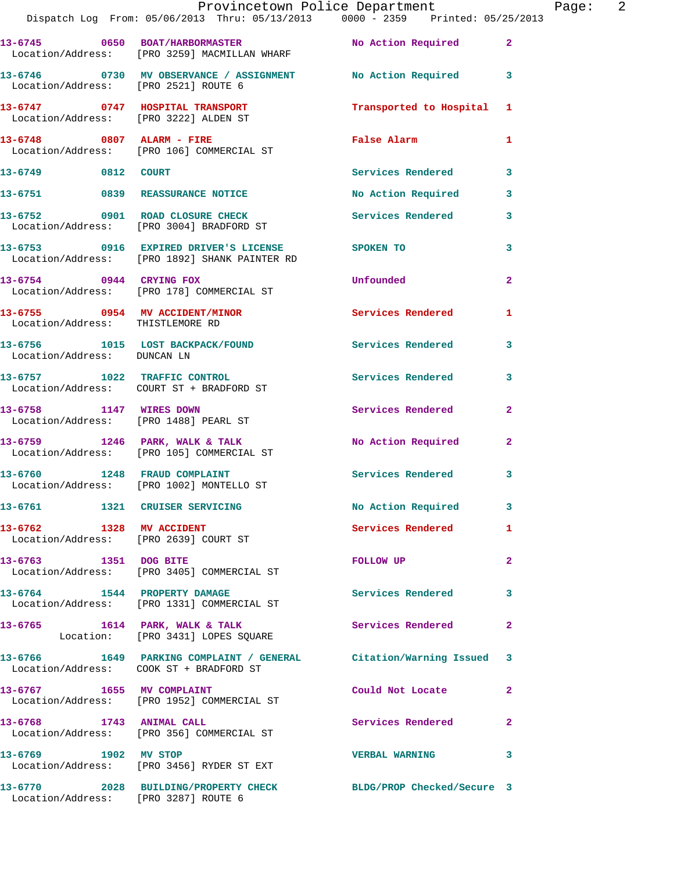|                                      | Dispatch Log From: 05/06/2013 Thru: 05/13/2013 0000 - 2359 Printed: 05/25/2013                      | Provincetown Police Department |              | Page: 2 |  |
|--------------------------------------|-----------------------------------------------------------------------------------------------------|--------------------------------|--------------|---------|--|
|                                      | 13-6745 0650 BOAT/HARBORMASTER No Action Required 2<br>Location/Address: [PRO 3259] MACMILLAN WHARF |                                |              |         |  |
| Location/Address: [PRO 2521] ROUTE 6 | 13-6746 0730 MV OBSERVANCE / ASSIGNMENT No Action Required 3                                        |                                |              |         |  |
|                                      |                                                                                                     | Transported to Hospital 1      |              |         |  |
|                                      | 13-6748 0807 ALARM - FIRE<br>Location/Address: [PRO 106] COMMERCIAL ST                              | False Alarm                    | 1            |         |  |
| 13-6749 0812 COURT                   |                                                                                                     | Services Rendered 3            |              |         |  |
|                                      | 13-6751 0839 REASSURANCE NOTICE                                                                     | No Action Required             | $\mathbf{3}$ |         |  |
|                                      | 13-6752 0901 ROAD CLOSURE CHECK<br>Location/Address: [PRO 3004] BRADFORD ST                         | Services Rendered              | 3            |         |  |
|                                      | 13-6753 0916 EXPIRED DRIVER'S LICENSE SPOKEN TO<br>Location/Address: [PRO 1892] SHANK PAINTER RD    |                                | 3            |         |  |
|                                      | 13-6754 0944 CRYING FOX<br>Location/Address: [PRO 178] COMMERCIAL ST                                | Unfounded                      | $\mathbf{2}$ |         |  |
| Location/Address: THISTLEMORE RD     | 13-6755 0954 MV ACCIDENT/MINOR Services Rendered                                                    |                                | 1            |         |  |
| Location/Address: DUNCAN LN          | 13-6756 1015 LOST BACKPACK/FOUND Services Rendered                                                  |                                | 3            |         |  |
|                                      | 13-6757 1022 TRAFFIC CONTROL<br>Location/Address: COURT ST + BRADFORD ST                            | <b>Services Rendered</b>       | 3            |         |  |
|                                      | 13-6758 1147 WIRES DOWN<br>Location/Address: [PRO 1488] PEARL ST                                    | Services Rendered              | $\mathbf{2}$ |         |  |
|                                      | 13-6759 1246 PARK, WALK & TALK<br>Location/Address: [PRO 105] COMMERCIAL ST                         | No Action Required             | $\mathbf{2}$ |         |  |
|                                      | 13-6760 1248 FRAUD COMPLAINT<br>Location/Address: [PRO 1002] MONTELLO ST                            | Services Rendered              | 3            |         |  |
|                                      | 13-6761 1321 CRUISER SERVICING                                                                      | No Action Required 3           |              |         |  |
| 13-6762 1328 MV ACCIDENT             | Location/Address: [PRO 2639] COURT ST                                                               | Services Rendered              | $\mathbf{1}$ |         |  |
| 13-6763 1351 DOG BITE                | Location/Address: [PRO 3405] COMMERCIAL ST                                                          | FOLLOW UP                      | $\mathbf{2}$ |         |  |
|                                      | 13-6764 1544 PROPERTY DAMAGE<br>Location/Address: [PRO 1331] COMMERCIAL ST                          | Services Rendered              | 3            |         |  |
|                                      | 13-6765 1614 PARK, WALK & TALK<br>Location: [PRO 3431] LOPES SQUARE                                 | Services Rendered              | $\mathbf{2}$ |         |  |
|                                      | 13-6766 1649 PARKING COMPLAINT / GENERAL Citation/Warning Issued 3                                  |                                |              |         |  |
|                                      | 13-6767 1655 MV COMPLAINT<br>Location/Address: [PRO 1952] COMMERCIAL ST                             | Could Not Locate               | $\mathbf{2}$ |         |  |
|                                      | 13-6768 1743 ANIMAL CALL<br>Location/Address: [PRO 356] COMMERCIAL ST                               | Services Rendered              | 2            |         |  |
| 13-6769 1902 MV STOP                 | Location/Address: [PRO 3456] RYDER ST EXT                                                           | <b>VERBAL WARNING</b>          | 3            |         |  |
| Location/Address: [PRO 3287] ROUTE 6 | 13-6770 2028 BUILDING/PROPERTY CHECK BLDG/PROP Checked/Secure 3                                     |                                |              |         |  |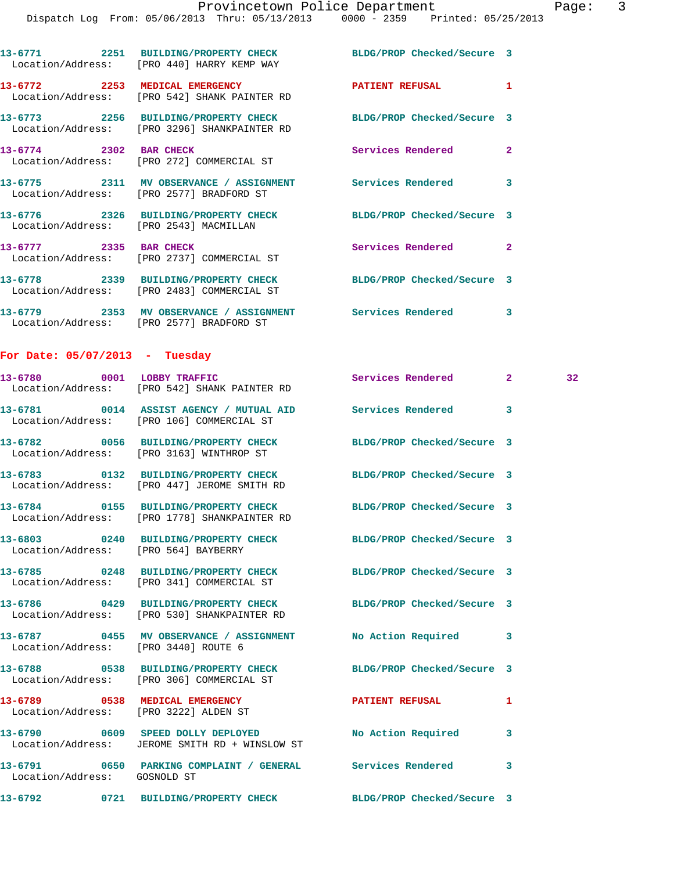Dispatch Log From: 05/06/2013 Thru: 05/13/2013 0000 - 2359 Printed: 05/25/2013

|                                      | 13-6771 2251 BUILDING/PROPERTY CHECK BLDG/PROP Checked/Secure 3<br>Location/Address: [PRO 440] HARRY KEMP WAY   |                            |              |                 |
|--------------------------------------|-----------------------------------------------------------------------------------------------------------------|----------------------------|--------------|-----------------|
|                                      | 13-6772 2253 MEDICAL EMERGENCY<br>Location/Address: [PRO 542] SHANK PAINTER RD                                  | PATIENT REFUSAL            | 1            |                 |
|                                      | 13-6773 2256 BUILDING/PROPERTY CHECK<br>Location/Address: [PRO 3296] SHANKPAINTER RD                            | BLDG/PROP Checked/Secure 3 |              |                 |
| 13-6774 2302 BAR CHECK               | Location/Address: [PRO 272] COMMERCIAL ST                                                                       | Services Rendered          | $\mathbf{2}$ |                 |
|                                      | 13-6775 2311 MV OBSERVANCE / ASSIGNMENT Services Rendered<br>Location/Address: [PRO 2577] BRADFORD ST           |                            | 3            |                 |
|                                      | 13-6776 2326 BUILDING/PROPERTY CHECK BLDG/PROP Checked/Secure 3<br>Location/Address: [PRO 2543] MACMILLAN       |                            |              |                 |
|                                      | 13-6777 2335 BAR CHECK<br>Location/Address: [PRO 2737] COMMERCIAL ST                                            | Services Rendered 2        |              |                 |
|                                      | 13-6778 2339 BUILDING/PROPERTY CHECK BLDG/PROP Checked/Secure 3<br>Location/Address: [PRO 2483] COMMERCIAL ST   |                            |              |                 |
|                                      | 13-6779 2353 MV OBSERVANCE / ASSIGNMENT Services Rendered 3<br>Location/Address: [PRO 2577] BRADFORD ST         |                            |              |                 |
| For Date: 05/07/2013 - Tuesday       |                                                                                                                 |                            |              |                 |
|                                      | 13-6780 0001 LOBBY TRAFFIC<br>Location/Address: [PRO 542] SHANK PAINTER RD                                      | Services Rendered 2        |              | 32 <sub>1</sub> |
|                                      | 13-6781 0014 ASSIST AGENCY / MUTUAL AID Services Rendered 3<br>Location/Address: [PRO 106] COMMERCIAL ST        |                            |              |                 |
|                                      | 13-6782 0056 BUILDING/PROPERTY CHECK<br>Location/Address: [PRO 3163] WINTHROP ST                                | BLDG/PROP Checked/Secure 3 |              |                 |
|                                      | 13-6783 0132 BUILDING/PROPERTY CHECK<br>Location/Address: [PRO 447] JEROME SMITH RD                             | BLDG/PROP Checked/Secure 3 |              |                 |
|                                      | 13-6784 0155 BUILDING/PROPERTY CHECK BLDG/PROP Checked/Secure 3<br>Location/Address: [PRO 1778] SHANKPAINTER RD |                            |              |                 |
| Location/Address: [PRO 564] BAYBERRY | 13-6803 0240 BUILDING/PROPERTY CHECK BLDG/PROP Checked/Secure 3                                                 |                            |              |                 |
|                                      | 13-6785 0248 BUILDING/PROPERTY CHECK BLDG/PROP Checked/Secure 3<br>Location/Address: [PRO 341] COMMERCIAL ST    |                            |              |                 |
|                                      | 13-6786 0429 BUILDING/PROPERTY CHECK BLDG/PROP Checked/Secure 3<br>Location/Address: [PRO 530] SHANKPAINTER RD  |                            |              |                 |
| Location/Address: [PRO 3440] ROUTE 6 | 13-6787 0455 MV OBSERVANCE / ASSIGNMENT No Action Required 3                                                    |                            |              |                 |
|                                      | 13-6788 0538 BUILDING/PROPERTY CHECK BLDG/PROP Checked/Secure 3<br>Location/Address: [PRO 306] COMMERCIAL ST    |                            |              |                 |
|                                      |                                                                                                                 | <b>PATIENT REFUSAL</b>     | 1            |                 |
|                                      | 13-6790 0609 SPEED DOLLY DEPLOYED<br>Location/Address: JEROME SMITH RD + WINSLOW ST                             | <b>No Action Required</b>  | 3            |                 |
| Location/Address: GOSNOLD ST         | 13-6791 0650 PARKING COMPLAINT / GENERAL Services Rendered                                                      |                            | 3            |                 |
|                                      | 13-6792 0721 BUILDING/PROPERTY CHECK BLDG/PROP Checked/Secure 3                                                 |                            |              |                 |
|                                      |                                                                                                                 |                            |              |                 |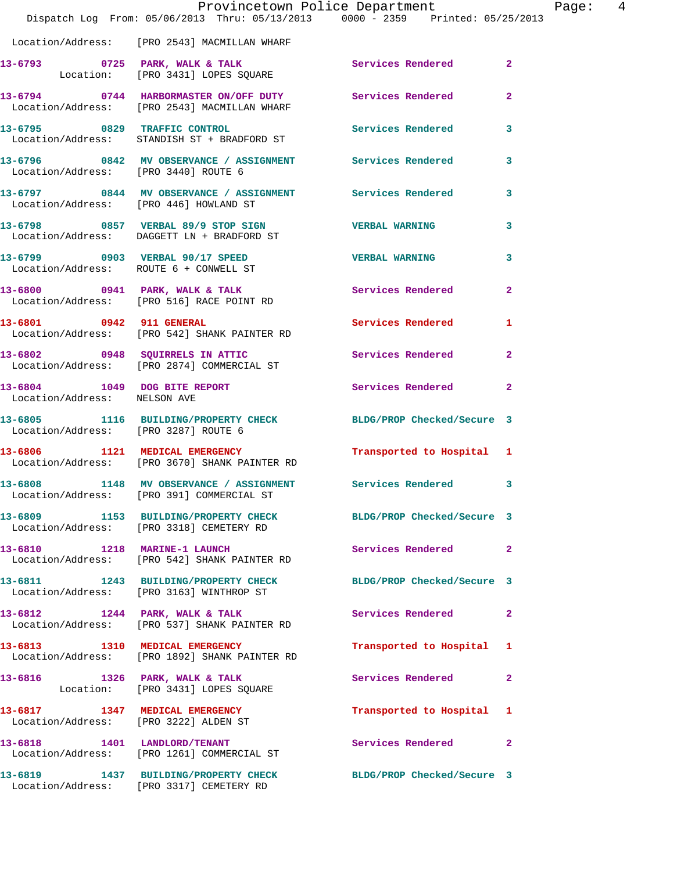|                                                              | Provincetown Police Department<br>Dispatch Log From: 05/06/2013 Thru: 05/13/2013 0000 - 2359 Printed: 05/25/2013 |                            |                |
|--------------------------------------------------------------|------------------------------------------------------------------------------------------------------------------|----------------------------|----------------|
|                                                              | Location/Address: [PRO 2543] MACMILLAN WHARF                                                                     |                            |                |
|                                                              | 13-6793 0725 PARK, WALK & TALK<br>Location: [PRO 3431] LOPES SQUARE                                              | Services Rendered          | $\overline{2}$ |
|                                                              | 13-6794 0744 HARBORMASTER ON/OFF DUTY Services Rendered<br>Location/Address: [PRO 2543] MACMILLAN WHARF          |                            | $\overline{2}$ |
|                                                              | 13-6795 0829 TRAFFIC CONTROL<br>Location/Address: STANDISH ST + BRADFORD ST                                      | <b>Services Rendered</b>   | 3              |
| Location/Address: [PRO 3440] ROUTE 6                         | 13-6796 6842 MV OBSERVANCE / ASSIGNMENT Services Rendered                                                        |                            | 3              |
| Location/Address: [PRO 446] HOWLAND ST                       | 13-6797 0844 MV OBSERVANCE / ASSIGNMENT Services Rendered                                                        |                            | 3              |
|                                                              | 13-6798 0857 VERBAL 89/9 STOP SIGN VERBAL WARNING<br>Location/Address: DAGGETT LN + BRADFORD ST                  |                            | 3              |
|                                                              | 13-6799 0903 VERBAL 90/17 SPEED<br>Location/Address: ROUTE 6 + CONWELL ST                                        | <b>VERBAL WARNING</b>      | 3              |
|                                                              | 13-6800 0941 PARK, WALK & TALK<br>Location/Address: [PRO 516] RACE POINT RD                                      | Services Rendered          | $\overline{2}$ |
| 13-6801 0942 911 GENERAL                                     | Location/Address: [PRO 542] SHANK PAINTER RD                                                                     | Services Rendered          | 1              |
|                                                              | 13-6802 0948 SQUIRRELS IN ATTIC<br>Location/Address: [PRO 2874] COMMERCIAL ST                                    | Services Rendered          | $\overline{2}$ |
| 13-6804 1049 DOG BITE REPORT<br>Location/Address: NELSON AVE |                                                                                                                  | Services Rendered          | $\mathbf{2}$   |
| Location/Address: [PRO 3287] ROUTE 6                         | 13-6805 1116 BUILDING/PROPERTY CHECK BLDG/PROP Checked/Secure 3                                                  |                            |                |
|                                                              | 13-6806 1121 MEDICAL EMERGENCY<br>Location/Address: [PRO 3670] SHANK PAINTER RD                                  | Transported to Hospital 1  |                |
|                                                              | 13-6808 1148 MV OBSERVANCE / ASSIGNMENT Services Rendered 3<br>Location/Address: [PRO 391] COMMERCIAL ST         |                            |                |
|                                                              | 13-6809 1153 BUILDING/PROPERTY CHECK<br>Location/Address: [PRO 3318] CEMETERY RD                                 | BLDG/PROP Checked/Secure 3 |                |
|                                                              | 13-6810 1218 MARINE-1 LAUNCH<br>Location/Address: [PRO 542] SHANK PAINTER RD                                     | Services Rendered          | $\mathbf{2}$   |
|                                                              | 13-6811 1243 BUILDING/PROPERTY CHECK BLDG/PROP Checked/Secure 3<br>Location/Address: [PRO 3163] WINTHROP ST      |                            |                |
|                                                              | 13-6812 1244 PARK, WALK & TALK<br>Location/Address: [PRO 537] SHANK PAINTER RD                                   | Services Rendered          | $\mathbf{2}$   |
| 13-6813 1310 MEDICAL EMERGENCY                               | Location/Address: [PRO 1892] SHANK PAINTER RD                                                                    | Transported to Hospital    | 1              |
|                                                              | 13-6816 1326 PARK, WALK & TALK<br>Location: [PRO 3431] LOPES SQUARE                                              | Services Rendered          | $\mathbf{2}$   |
| 13-6817 1347 MEDICAL EMERGENCY                               | Location/Address: [PRO 3222] ALDEN ST                                                                            | Transported to Hospital    | 1              |
|                                                              | 13-6818 1401 LANDLORD/TENANT<br>Location/Address: [PRO 1261] COMMERCIAL ST                                       | Services Rendered          | $\overline{a}$ |
|                                                              | 13-6819 1437 BUILDING/PROPERTY CHECK<br>Location/Address: [PRO 3317] CEMETERY RD                                 | BLDG/PROP Checked/Secure 3 |                |

Page: 4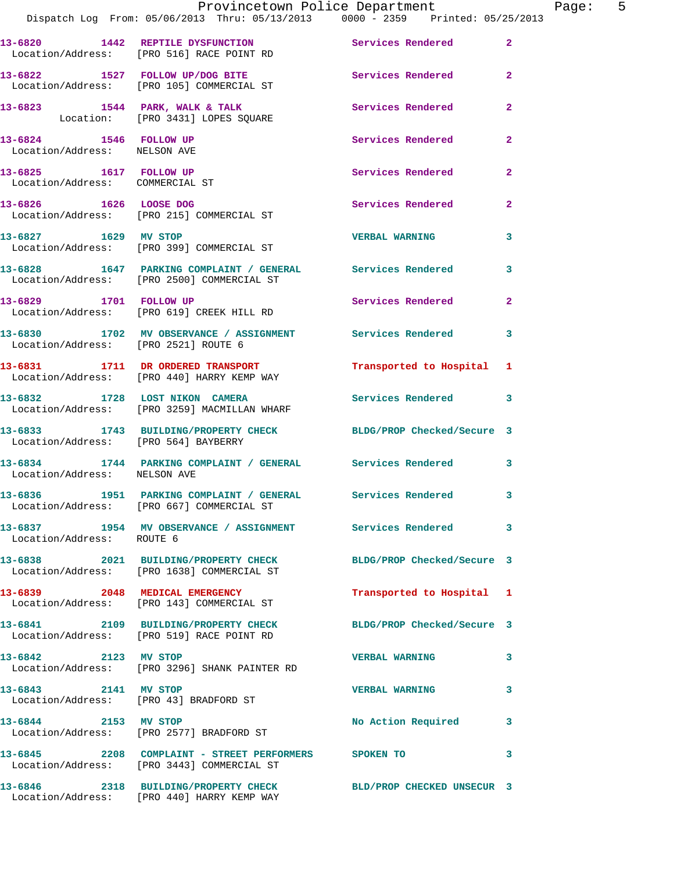|                                                           |                                                                                                               | Provincetown Police Department | Page: 5 |
|-----------------------------------------------------------|---------------------------------------------------------------------------------------------------------------|--------------------------------|---------|
|                                                           | Dispatch Log From: 05/06/2013 Thru: 05/13/2013 0000 - 2359 Printed: 05/25/2013                                |                                |         |
|                                                           | 13-6820 1442 REPTILE DYSFUNCTION Services Rendered 2<br>Location/Address: [PRO 516] RACE POINT RD             |                                |         |
|                                                           | 13-6822 1527 FOLLOW UP/DOG BITE Services Rendered 2<br>Location/Address: [PRO 105] COMMERCIAL ST              |                                |         |
|                                                           | 13-6823 1544 PARK, WALK & TALK Services Rendered 2<br>Location: [PRO 3431] LOPES SQUARE                       |                                |         |
| 13-6824 1546 FOLLOW UP<br>Location/Address: NELSON AVE    |                                                                                                               | <b>Services Rendered</b> 2     |         |
| 13-6825 1617 FOLLOW UP<br>Location/Address: COMMERCIAL ST |                                                                                                               | Services Rendered 2            |         |
|                                                           | 13-6826 1626 LOOSE DOG 13-6826 Services Rendered 2<br>Location/Address: [PRO 215] COMMERCIAL ST               |                                |         |
|                                                           | 13-6827 1629 MV STOP<br>Location/Address: [PRO 399] COMMERCIAL ST                                             | <b>VERBAL WARNING</b> 3        |         |
|                                                           | 13-6828 1647 PARKING COMPLAINT / GENERAL Services Rendered 3<br>Location/Address: [PRO 2500] COMMERCIAL ST    |                                |         |
|                                                           | 13-6829 1701 FOLLOW UP<br>Location/Address: [PRO 619] CREEK HILL RD                                           | Services Rendered 2            |         |
| Location/Address: [PRO 2521] ROUTE 6                      | 13-6830 1702 MV OBSERVANCE / ASSIGNMENT Services Rendered 3                                                   |                                |         |
|                                                           | 13-6831 1711 DR ORDERED TRANSPORT 1 Transported to Hospital 1<br>Location/Address: [PRO 440] HARRY KEMP WAY   |                                |         |
|                                                           | 13-6832 1728 LOST NIKON CAMERA<br>Location/Address: [PRO 3259] MACMILLAN WHARF                                | Services Rendered 3            |         |
|                                                           | 13-6833 1743 BUILDING/PROPERTY CHECK BLDG/PROP Checked/Secure 3<br>Location/Address: [PRO 564] BAYBERRY       |                                |         |
| Location/Address: NELSON AVE                              | 13-6834 1744 PARKING COMPLAINT / GENERAL Services Rendered 3                                                  |                                |         |
|                                                           | 13-6836 1951 PARKING COMPLAINT / GENERAL Services Rendered 3<br>Location/Address: [PRO 667] COMMERCIAL ST     |                                |         |
| Location/Address: ROUTE 6                                 | 13-6837 1954 MV OBSERVANCE / ASSIGNMENT Services Rendered 3                                                   |                                |         |
|                                                           | 13-6838 2021 BUILDING/PROPERTY CHECK BLDG/PROP Checked/Secure 3<br>Location/Address: [PRO 1638] COMMERCIAL ST |                                |         |
|                                                           | 13-6839 2048 MEDICAL EMERGENCY<br>Location/Address: [PRO 143] COMMERCIAL ST                                   | Transported to Hospital 1      |         |
|                                                           | 13-6841 2109 BUILDING/PROPERTY CHECK BLDG/PROP Checked/Secure 3<br>Location/Address: [PRO 519] RACE POINT RD  |                                |         |
| 13-6842 2123 MV STOP                                      | Location/Address: [PRO 3296] SHANK PAINTER RD                                                                 | <b>VERBAL WARNING</b>          | 3       |
| 13-6843 2141 MV STOP                                      | Location/Address: [PRO 43] BRADFORD ST                                                                        | <b>VERBAL WARNING</b>          | 3       |
|                                                           | 13-6844 2153 MV STOP<br>Location/Address: [PRO 2577] BRADFORD ST                                              | No Action Required 3           |         |
|                                                           | 13-6845 2208 COMPLAINT - STREET PERFORMERS SPOKEN TO<br>Location/Address: [PRO 3443] COMMERCIAL ST            |                                | 3       |
|                                                           | 13-6846 2318 BUILDING/PROPERTY CHECK BLD/PROP CHECKED UNSECUR 3<br>Location/Address: [PRO 440] HARRY KEMP WAY |                                |         |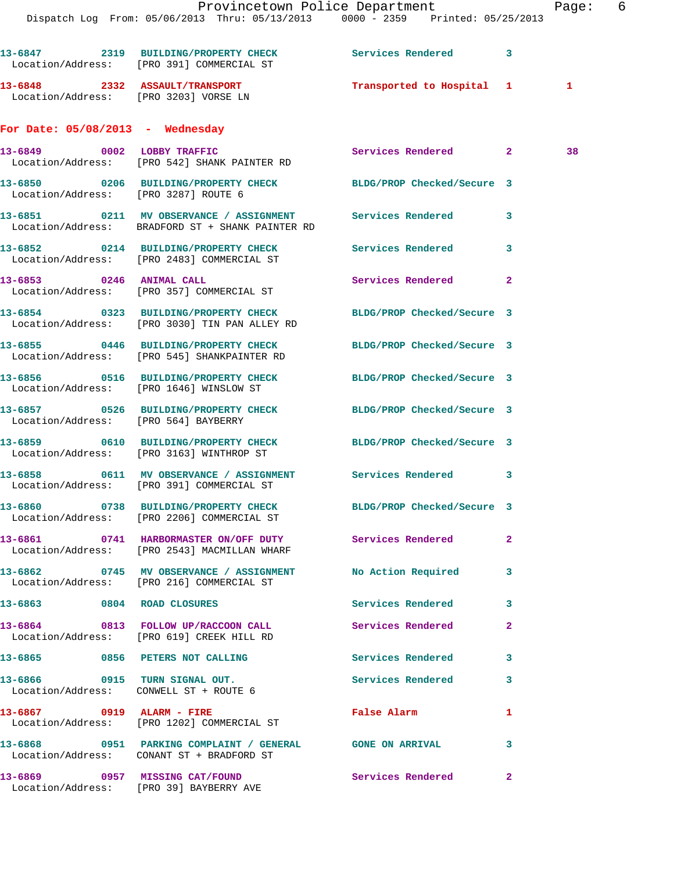Dispatch Log From: 05/06/2013 Thru: 05/13/2013 0000 - 2359 Printed: 05/25/2013 **13-6847 2319 BUILDING/PROPERTY CHECK Services Rendered 3**  Location/Address: [PRO 391] COMMERCIAL ST **13-6848 2332 ASSAULT/TRANSPORT Transported to Hospital 1 1**  Location/Address: [PRO 3203] VORSE LN **For Date: 05/08/2013 - Wednesday 13-6849 0002 LOBBY TRAFFIC Services Rendered 2 38**  Location/Address: [PRO 542] SHANK PAINTER RD **13-6850 0206 BUILDING/PROPERTY CHECK BLDG/PROP Checked/Secure 3**  Location/Address: [PRO 3287] ROUTE 6 **13-6851 0211 MV OBSERVANCE / ASSIGNMENT Services Rendered 3**  Location/Address: BRADFORD ST + SHANK PAINTER RD **13-6852 0214 BUILDING/PROPERTY CHECK Services Rendered 3**  Location/Address: [PRO 2483] COMMERCIAL ST **13-6853 0246 ANIMAL CALL Services Rendered 2**  Location/Address: [PRO 357] COMMERCIAL ST **13-6854 0323 BUILDING/PROPERTY CHECK BLDG/PROP Checked/Secure 3**  Location/Address: [PRO 3030] TIN PAN ALLEY RD **13-6855 0446 BUILDING/PROPERTY CHECK BLDG/PROP Checked/Secure 3**  Location/Address: [PRO 545] SHANKPAINTER RD **13-6856 0516 BUILDING/PROPERTY CHECK BLDG/PROP Checked/Secure 3**  Location/Address: [PRO 1646] WINSLOW ST

**13-6857 0526 BUILDING/PROPERTY CHECK BLDG/PROP Checked/Secure 3**  Location/Address: [PRO 564] BAYBERRY

**13-6859 0610 BUILDING/PROPERTY CHECK BLDG/PROP Checked/Secure 3**  Location/Address: [PRO 3163] WINTHROP ST

**13-6858 0611 MV OBSERVANCE / ASSIGNMENT Services Rendered 3**  Location/Address: [PRO 391] COMMERCIAL ST

**13-6860 0738 BUILDING/PROPERTY CHECK BLDG/PROP Checked/Secure 3**  Location/Address: [PRO 2206] COMMERCIAL ST

**13-6861 0741 HARBORMASTER ON/OFF DUTY Services Rendered 2**  Location/Address: [PRO 2543] MACMILLAN WHARF

**13-6862 0745 MV OBSERVANCE / ASSIGNMENT No Action Required 3**  Location/Address: [PRO 216] COMMERCIAL ST **13-6863 0804 ROAD CLOSURES Services Rendered 3 13-6864 0813 FOLLOW UP/RACCOON CALL Services Rendered 2**  Location/Address: [PRO 619] CREEK HILL RD **13-6865 0856 PETERS NOT CALLING Services Rendered 3 13-6866 0915 TURN SIGNAL OUT. Services Rendered 3**  Location/Address: CONWELL ST + ROUTE 6

**13-6867 0919 ALARM - FIRE False Alarm 1**  Location/Address: [PRO 1202] COMMERCIAL ST **13-6868 0951 PARKING COMPLAINT / GENERAL GONE ON ARRIVAL 3**  Location/Address: CONANT ST + BRADFORD ST **13-6869 0957 MISSING CAT/FOUND Services Rendered 2**  Location/Address: [PRO 39] BAYBERRY AVE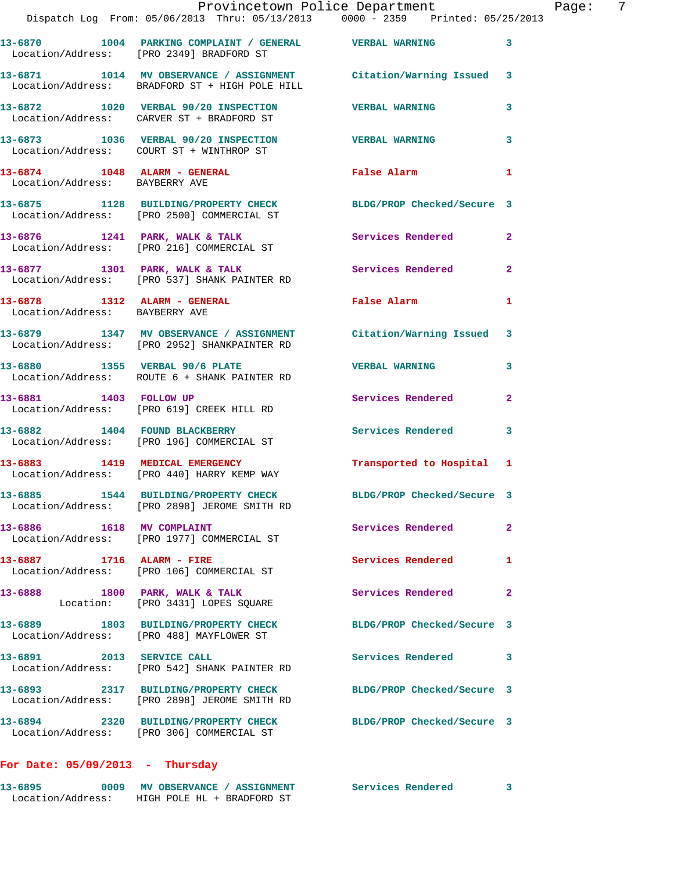|                                | Provincetown Police Department Fage: 7<br>Dispatch Log From: 05/06/2013 Thru: 05/13/2013 0000 - 2359 Printed: 05/25/2013 |                            |              |  |
|--------------------------------|--------------------------------------------------------------------------------------------------------------------------|----------------------------|--------------|--|
|                                |                                                                                                                          |                            |              |  |
|                                | 13-6870 1004 PARKING COMPLAINT / GENERAL VERBAL WARNING<br>Location/Address: [PRO 2349] BRADFORD ST                      |                            | 3            |  |
|                                | 13-6871 1014 MV OBSERVANCE / ASSIGNMENT Citation/Warning Issued 3<br>Location/Address: BRADFORD ST + HIGH POLE HILL      |                            |              |  |
|                                | 13-6872 1020 VERBAL 90/20 INSPECTION VERBAL WARNING<br>Location/Address: CARVER ST + BRADFORD ST                         |                            | 3            |  |
|                                | 13-6873 1036 VERBAL 90/20 INSPECTION VERBAL WARNING<br>Location/Address: COURT ST + WINTHROP ST                          |                            | 3            |  |
| Location/Address: BAYBERRY AVE | 13-6874 1048 ALARM - GENERAL False Alarm 1                                                                               |                            |              |  |
|                                | 13-6875 1128 BUILDING/PROPERTY CHECK BLDG/PROP Checked/Secure 3<br>Location/Address: [PRO 2500] COMMERCIAL ST            |                            |              |  |
|                                | 13-6876 1241 PARK, WALK & TALK 1999 Services Rendered<br>Location/Address: [PRO 216] COMMERCIAL ST                       |                            | $\mathbf{2}$ |  |
|                                | 13-6877 1301 PARK, WALK & TALK 1988 Services Rendered<br>Location/Address: [PRO 537] SHANK PAINTER RD                    |                            | $\mathbf{2}$ |  |
| Location/Address: BAYBERRY AVE | 13-6878 1312 ALARM - GENERAL 1 False Alarm                                                                               |                            |              |  |
|                                | 13-6879 1347 MV OBSERVANCE / ASSIGNMENT Citation/Warning Issued 3<br>Location/Address: [PRO 2952] SHANKPAINTER RD        |                            |              |  |
|                                | 13-6880 1355 VERBAL 90/6 PLATE 7 VERBAL WARNING<br>Location/Address: ROUTE 6 + SHANK PAINTER RD                          |                            | 3            |  |
|                                | 13-6881 1403 FOLLOW UP<br>Location/Address: [PRO 619] CREEK HILL RD                                                      | Services Rendered          | $\mathbf{2}$ |  |
|                                | 13-6882 1404 FOUND BLACKBERRY<br>Location/Address: [PRO 196] COMMERCIAL ST                                               | Services Rendered 3        |              |  |
|                                | 13-6883 1419 MEDICAL EMERGENCY<br>Location/Address: [PRO 440] HARRY KEMP WAY                                             | Transported to Hospital 1  |              |  |
|                                | 13-6885 1544 BUILDING/PROPERTY CHECK<br>Location/Address: [PRO 2898] JEROME SMITH RD                                     | BLDG/PROP Checked/Secure 3 |              |  |
| 13-6886 1618 MV COMPLAINT      | Location/Address: [PRO 1977] COMMERCIAL ST                                                                               | Services Rendered          | $\mathbf{2}$ |  |
| 13-6887 1716 ALARM - FIRE      | Location/Address: [PRO 106] COMMERCIAL ST                                                                                | <b>Services Rendered</b>   | 1            |  |
|                                | 13-6888 1800 PARK, WALK & TALK<br>Location: [PRO 3431] LOPES SQUARE                                                      | Services Rendered          | $\mathbf{2}$ |  |
|                                | 13-6889 1803 BUILDING/PROPERTY CHECK BLDG/PROP Checked/Secure 3<br>Location/Address: [PRO 488] MAYFLOWER ST              |                            |              |  |
|                                | 13-6891 2013 SERVICE CALL<br>Location/Address: [PRO 542] SHANK PAINTER RD                                                | Services Rendered          | 3            |  |
|                                | 13-6893 2317 BUILDING/PROPERTY CHECK BLDG/PROP Checked/Secure 3<br>Location/Address: [PRO 2898] JEROME SMITH RD          |                            |              |  |
|                                | 13-6894 2320 BUILDING/PROPERTY CHECK BLDG/PROP Checked/Secure 3<br>Location/Address: [PRO 306] COMMERCIAL ST             |                            |              |  |
|                                |                                                                                                                          |                            |              |  |

## **For Date: 05/09/2013 - Thursday**

| 13-6895           | 0009 | <b>MV OBSERVANCE / ASSIGNMENT</b> | Services Rendered |  |
|-------------------|------|-----------------------------------|-------------------|--|
| Location/Address: |      | HIGH POLE HL + BRADFORD ST        |                   |  |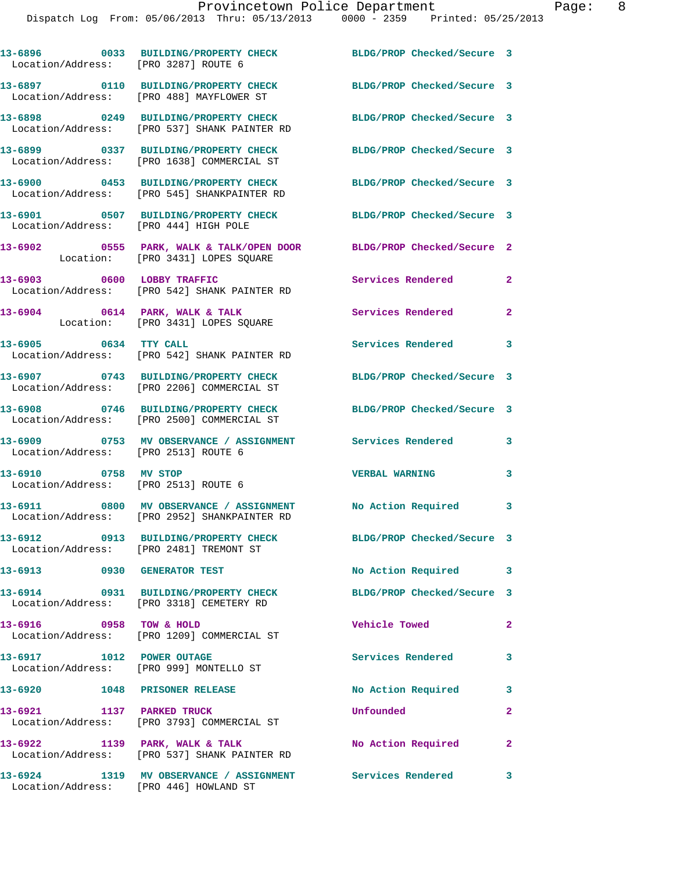| Location/Address: [PRO 3287] ROUTE 6  | 13-6896 0033 BUILDING/PROPERTY CHECK                                                                         | BLDG/PROP Checked/Secure 3 |                |
|---------------------------------------|--------------------------------------------------------------------------------------------------------------|----------------------------|----------------|
|                                       | 13-6897 0110 BUILDING/PROPERTY CHECK<br>Location/Address: [PRO 488] MAYFLOWER ST                             | BLDG/PROP Checked/Secure 3 |                |
|                                       | 13-6898 0249 BUILDING/PROPERTY CHECK<br>Location/Address: [PRO 537] SHANK PAINTER RD                         | BLDG/PROP Checked/Secure 3 |                |
|                                       | 13-6899 0337 BUILDING/PROPERTY CHECK<br>Location/Address: [PRO 1638] COMMERCIAL ST                           | BLDG/PROP Checked/Secure 3 |                |
|                                       | 13-6900 0453 BUILDING/PROPERTY CHECK<br>Location/Address: [PRO 545] SHANKPAINTER RD                          | BLDG/PROP Checked/Secure 3 |                |
| Location/Address: [PRO 444] HIGH POLE | 13-6901 0507 BUILDING/PROPERTY CHECK                                                                         | BLDG/PROP Checked/Secure 3 |                |
|                                       | 13-6902 0555 PARK, WALK & TALK/OPEN DOOR BLDG/PROP Checked/Secure 2<br>Location: [PRO 3431] LOPES SQUARE     |                            |                |
|                                       | 13-6903 0600 LOBBY TRAFFIC<br>Location/Address: [PRO 542] SHANK PAINTER RD                                   | <b>Services Rendered</b>   | $\mathbf{2}$   |
|                                       | $13-6904$ 0614 PARK, WALK & TALK<br>Location: [PRO 3431] LOPES SQUARE                                        | Services Rendered 2        |                |
| 13-6905 0634 TTY CALL                 | Location/Address: [PRO 542] SHANK PAINTER RD                                                                 | Services Rendered 3        |                |
|                                       | 13-6907 0743 BUILDING/PROPERTY CHECK<br>Location/Address: [PRO 2206] COMMERCIAL ST                           | BLDG/PROP Checked/Secure 3 |                |
|                                       | 13-6908 0746 BUILDING/PROPERTY CHECK<br>Location/Address: [PRO 2500] COMMERCIAL ST                           | BLDG/PROP Checked/Secure 3 |                |
| Location/Address: [PRO 2513] ROUTE 6  | 13-6909 0753 MV OBSERVANCE / ASSIGNMENT Services Rendered                                                    |                            | 3              |
| 13-6910 0758 MV STOP                  | Location/Address: [PRO 2513] ROUTE 6                                                                         | <b>VERBAL WARNING</b>      | 3              |
|                                       | 13-6911 0800 MV OBSERVANCE / ASSIGNMENT No Action Required 3<br>Location/Address: [PRO 2952] SHANKPAINTER RD |                            |                |
|                                       | 13-6912 0913 BUILDING/PROPERTY CHECK<br>Location/Address: [PRO 2481] TREMONT ST                              | BLDG/PROP Checked/Secure 3 |                |
| 13-6913 0930 GENERATOR TEST           |                                                                                                              | No Action Required 3       |                |
| 13-6914                               | 0931 BUILDING/PROPERTY CHECK<br>Location/Address: [PRO 3318] CEMETERY RD                                     | BLDG/PROP Checked/Secure 3 |                |
| 13-6916 0958 TOW & HOLD               | Location/Address: [PRO 1209] COMMERCIAL ST                                                                   | Vehicle Towed              | $\overline{2}$ |
| 13-6917 1012 POWER OUTAGE             | Location/Address: [PRO 999] MONTELLO ST                                                                      | Services Rendered          | 3              |
| 13-6920 1048 PRISONER RELEASE         |                                                                                                              | No Action Required         | 3              |
| 13-6921 1137 PARKED TRUCK             | Location/Address: [PRO 3793] COMMERCIAL ST                                                                   | Unfounded                  | $\mathbf{2}$   |
| 13-6922 1139 PARK, WALK & TALK        | Location/Address: [PRO 537] SHANK PAINTER RD                                                                 | No Action Required         | $\mathbf{2}$   |
| 13-6924                               | 1319 MV OBSERVANCE / ASSIGNMENT Services Rendered                                                            |                            | $\mathbf{3}$   |

Location/Address: [PRO 446] HOWLAND ST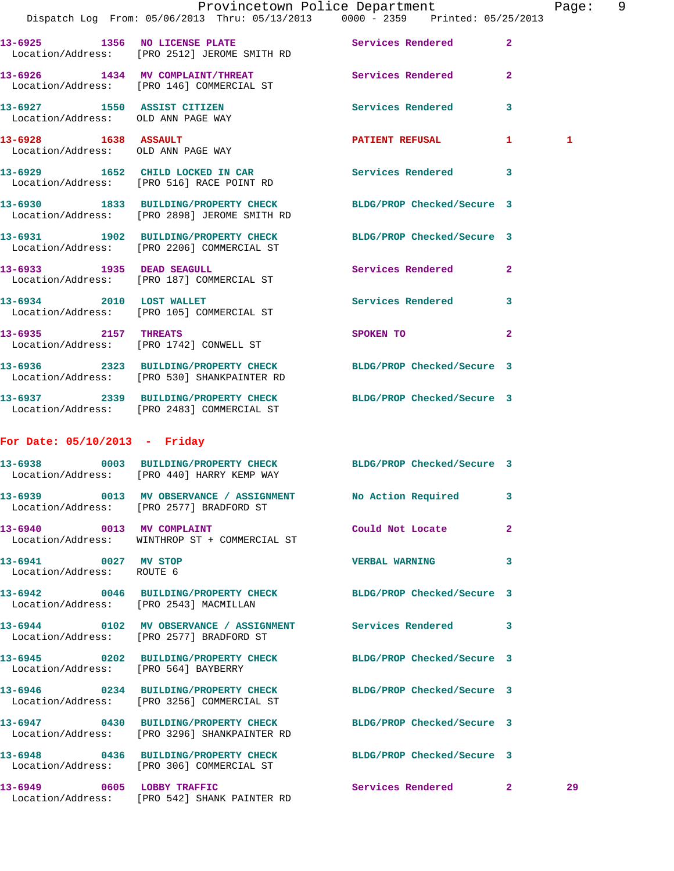|                                                                   | PLOVINCECOWN POILCE DEPALCMENT<br>Dispatch Log From: 05/06/2013 Thru: 05/13/2013 0000 - 2359 Printed: 05/25/2013 |                            |              | raye         |
|-------------------------------------------------------------------|------------------------------------------------------------------------------------------------------------------|----------------------------|--------------|--------------|
|                                                                   | 13-6925 1356 NO LICENSE PLATE<br>Location/Address: [PRO 2512] JEROME SMITH RD                                    | Services Rendered          | $\mathbf{2}$ |              |
|                                                                   | 13-6926 1434 MV COMPLAINT/THREAT<br>Location/Address: [PRO 146] COMMERCIAL ST                                    | Services Rendered          | $\mathbf{2}$ |              |
| 13-6927 1550 ASSIST CITIZEN<br>Location/Address: OLD ANN PAGE WAY |                                                                                                                  | Services Rendered          | 3            |              |
| 13-6928 1638 ASSAULT<br>Location/Address: OLD ANN PAGE WAY        |                                                                                                                  | PATIENT REFUSAL 1          |              | $\mathbf{1}$ |
|                                                                   | 13-6929 1652 CHILD LOCKED IN CAR<br>Location/Address: [PRO 516] RACE POINT RD                                    | Services Rendered          | 3            |              |
|                                                                   | 13-6930 1833 BUILDING/PROPERTY CHECK<br>Location/Address: [PRO 2898] JEROME SMITH RD                             | BLDG/PROP Checked/Secure 3 |              |              |
|                                                                   | 13-6931 1902 BUILDING/PROPERTY CHECK<br>Location/Address: [PRO 2206] COMMERCIAL ST                               | BLDG/PROP Checked/Secure 3 |              |              |
|                                                                   | 13-6933 1935 DEAD SEAGULL<br>Location/Address: [PRO 187] COMMERCIAL ST                                           | <b>Services Rendered</b> 2 |              |              |
|                                                                   | 13-6934 2010 LOST WALLET<br>Location/Address: [PRO 105] COMMERCIAL ST                                            | Services Rendered          | 3            |              |
| 13-6935 2157 THREATS                                              | Location/Address: [PRO 1742] CONWELL ST                                                                          | SPOKEN TO                  | $\mathbf{2}$ |              |
|                                                                   | 13-6936 2323 BUILDING/PROPERTY CHECK BLDG/PROP Checked/Secure 3<br>Location/Address: [PRO 530] SHANKPAINTER RD   |                            |              |              |
|                                                                   | 13-6937 2339 BUILDING/PROPERTY CHECK BLDG/PROP Checked/Secure 3<br>Location/Address: [PRO 2483] COMMERCIAL ST    |                            |              |              |
| For Date: $05/10/2013$ - Friday                                   |                                                                                                                  |                            |              |              |
| $13 - 6938$                                                       | 0003 BUILDING/PROPERTY CHECK BLDG/PROP Checked/Secure 3<br>Location/Address: [PRO 440] HARRY KEMP WAY            |                            |              |              |
|                                                                   | 13-6939 0013 MV OBSERVANCE / ASSIGNMENT<br>Location/Address: [PRO 2577] BRADFORD ST                              | No Action Required         | 3            |              |
| 13-6940 0013 MV COMPLAINT                                         | Location/Address: WINTHROP ST + COMMERCIAL ST                                                                    | Could Not Locate           | 2            |              |
| 13-6941 0027 MV STOP<br>Location/Address: ROUTE 6                 |                                                                                                                  | <b>VERBAL WARNING</b>      | 3            |              |
|                                                                   | 13-6942 0046 BUILDING/PROPERTY CHECK<br>Location/Address: [PRO 2543] MACMILLAN                                   | BLDG/PROP Checked/Secure 3 |              |              |
|                                                                   | 13-6944 0102 MV OBSERVANCE / ASSIGNMENT Services Rendered 3<br>Location/Address: [PRO 2577] BRADFORD ST          |                            |              |              |
| Location/Address: [PRO 564] BAYBERRY                              | 13-6945 0202 BUILDING/PROPERTY CHECK BLDG/PROP Checked/Secure 3                                                  |                            |              |              |
|                                                                   | 13-6946 0234 BUILDING/PROPERTY CHECK BLDG/PROP Checked/Secure 3<br>Location/Address: [PRO 3256] COMMERCIAL ST    |                            |              |              |
|                                                                   | 13-6947 0430 BUILDING/PROPERTY CHECK BLDG/PROP Checked/Secure 3<br>Location/Address: [PRO 3296] SHANKPAINTER RD  |                            |              |              |
|                                                                   | 13-6948 0436 BUILDING/PROPERTY CHECK BLDG/PROP Checked/Secure 3<br>Location/Address: [PRO 306] COMMERCIAL ST     |                            |              |              |
| 13-6949 0605 LOBBY TRAFFIC                                        | Location/Address: [PRO 542] SHANK PAINTER RD                                                                     | Services Rendered 2        |              | 29           |

Provincetown Police Department Page: 9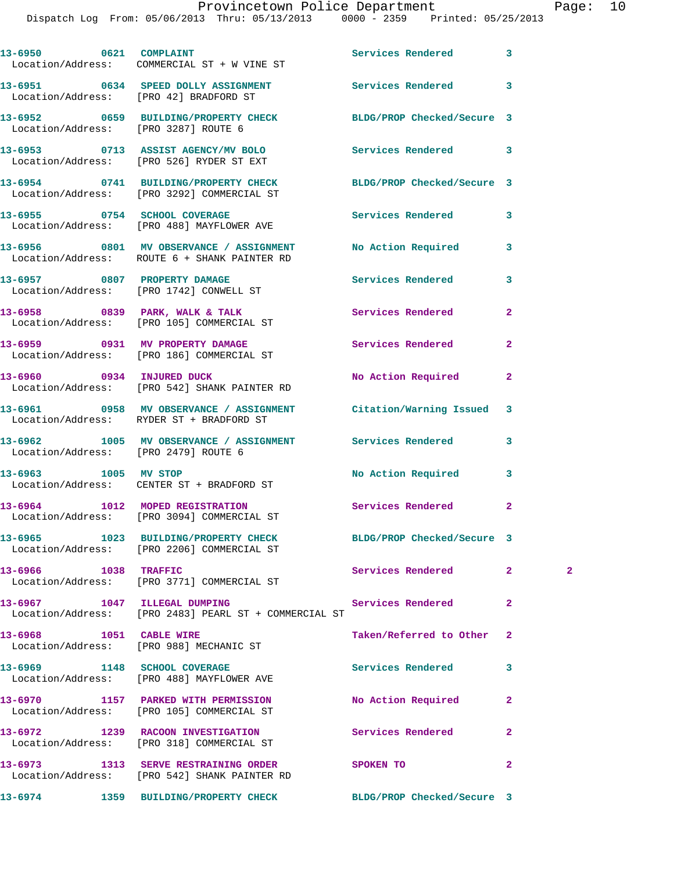|                                      | 13-6950 0621 COMPLAINT<br>Location/Address: COMMERCIAL ST + W VINE ST                                      | <b>Services Rendered</b>   | 3              |              |
|--------------------------------------|------------------------------------------------------------------------------------------------------------|----------------------------|----------------|--------------|
|                                      | 13-6951 0634 SPEED DOLLY ASSIGNMENT Services Rendered<br>Location/Address: [PRO 42] BRADFORD ST            |                            | 3              |              |
| Location/Address: [PRO 3287] ROUTE 6 | 13-6952 0659 BUILDING/PROPERTY CHECK                                                                       | BLDG/PROP Checked/Secure 3 |                |              |
|                                      | 13-6953 0713 ASSIST AGENCY/MV BOLO<br>Location/Address: [PRO 526] RYDER ST EXT                             | Services Rendered          | 3              |              |
|                                      | 13-6954 0741 BUILDING/PROPERTY CHECK<br>Location/Address: [PRO 3292] COMMERCIAL ST                         | BLDG/PROP Checked/Secure 3 |                |              |
|                                      | 13-6955 0754 SCHOOL COVERAGE<br>Location/Address: [PRO 488] MAYFLOWER AVE                                  | Services Rendered          | 3              |              |
|                                      | 13-6956 6801 MV OBSERVANCE / ASSIGNMENT No Action Required<br>Location/Address: ROUTE 6 + SHANK PAINTER RD |                            | 3              |              |
|                                      | 13-6957 0807 PROPERTY DAMAGE<br>Location/Address: [PRO 1742] CONWELL ST                                    | Services Rendered          | 3              |              |
|                                      | 13-6958 0839 PARK, WALK & TALK<br>Location/Address: [PRO 105] COMMERCIAL ST                                | Services Rendered          | $\overline{a}$ |              |
|                                      | 13-6959 0931 MV PROPERTY DAMAGE<br>Location/Address: [PRO 186] COMMERCIAL ST                               | Services Rendered          | $\mathbf{2}$   |              |
| 13-6960 0934 INJURED DUCK            | Location/Address: [PRO 542] SHANK PAINTER RD                                                               | No Action Required         | $\overline{2}$ |              |
|                                      | 13-6961 0958 MV OBSERVANCE / ASSIGNMENT<br>Location/Address: RYDER ST + BRADFORD ST                        | Citation/Warning Issued    | 3              |              |
| Location/Address: [PRO 2479] ROUTE 6 | 13-6962 1005 MV OBSERVANCE / ASSIGNMENT Services Rendered                                                  |                            | 3              |              |
|                                      | 13-6963 1005 MV STOP<br>Location/Address: CENTER ST + BRADFORD ST                                          | No Action Required         | 3              |              |
|                                      | 13-6964 1012 MOPED REGISTRATION<br>Location/Address: [PRO 3094] COMMERCIAL ST                              | Services Rendered          | $\mathbf{2}$   |              |
|                                      | 13-6965 1023 BUILDING/PROPERTY CHECK<br>Location/Address: [PRO 2206] COMMERCIAL ST                         | BLDG/PROP Checked/Secure 3 |                |              |
| 13-6966 1038 TRAFFIC                 | Location/Address: [PRO 3771] COMMERCIAL ST                                                                 | Services Rendered          | $\mathbf{2}$   | $\mathbf{2}$ |
|                                      | 13-6967 1047 ILLEGAL DUMPING Services Rendered<br>Location/Address: [PRO 2483] PEARL ST + COMMERCIAL ST    |                            | $\mathbf{2}$   |              |
| 13-6968 1051 CABLE WIRE              | Location/Address: [PRO 988] MECHANIC ST                                                                    | Taken/Referred to Other    | $\overline{2}$ |              |
|                                      | 13-6969 1148 SCHOOL COVERAGE<br>Location/Address: [PRO 488] MAYFLOWER AVE                                  | <b>Services Rendered</b>   | 3              |              |
|                                      | 13-6970 1157 PARKED WITH PERMISSION<br>Location/Address: [PRO 105] COMMERCIAL ST                           | No Action Required         | $\overline{a}$ |              |
|                                      | 13-6972 1239 RACOON INVESTIGATION<br>Location/Address: [PRO 318] COMMERCIAL ST                             | Services Rendered          | 2              |              |
|                                      | 13-6973 1313 SERVE RESTRAINING ORDER<br>Location/Address: [PRO 542] SHANK PAINTER RD                       | SPOKEN TO                  | $\mathbf{2}$   |              |

**13-6974 1359 BUILDING/PROPERTY CHECK BLDG/PROP Checked/Secure 3**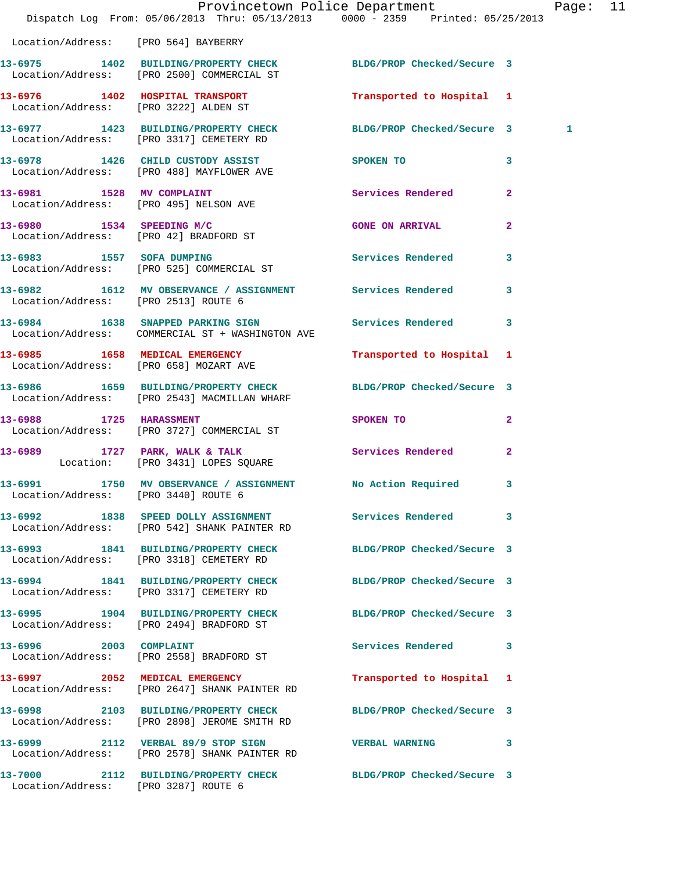|                                                                                  |           |                                                                                                                                                       | Page: 11                                                                                                                                                                                                                                                                                                                                                                                                                                                                                                                                                                                                                                                                                                                                                                                                                                                                                                                                                                                                                                                                                                                                                                                          |                                                                 |
|----------------------------------------------------------------------------------|-----------|-------------------------------------------------------------------------------------------------------------------------------------------------------|---------------------------------------------------------------------------------------------------------------------------------------------------------------------------------------------------------------------------------------------------------------------------------------------------------------------------------------------------------------------------------------------------------------------------------------------------------------------------------------------------------------------------------------------------------------------------------------------------------------------------------------------------------------------------------------------------------------------------------------------------------------------------------------------------------------------------------------------------------------------------------------------------------------------------------------------------------------------------------------------------------------------------------------------------------------------------------------------------------------------------------------------------------------------------------------------------|-----------------------------------------------------------------|
| Location/Address: [PRO 564] BAYBERRY                                             |           |                                                                                                                                                       |                                                                                                                                                                                                                                                                                                                                                                                                                                                                                                                                                                                                                                                                                                                                                                                                                                                                                                                                                                                                                                                                                                                                                                                                   |                                                                 |
| Location/Address: [PRO 2500] COMMERCIAL ST                                       |           |                                                                                                                                                       |                                                                                                                                                                                                                                                                                                                                                                                                                                                                                                                                                                                                                                                                                                                                                                                                                                                                                                                                                                                                                                                                                                                                                                                                   |                                                                 |
| 13-6976 1402 HOSPITAL TRANSPORT<br>Location/Address: [PRO 3222] ALDEN ST         |           |                                                                                                                                                       |                                                                                                                                                                                                                                                                                                                                                                                                                                                                                                                                                                                                                                                                                                                                                                                                                                                                                                                                                                                                                                                                                                                                                                                                   |                                                                 |
| Location/Address: [PRO 3317] CEMETERY RD                                         |           |                                                                                                                                                       | 1                                                                                                                                                                                                                                                                                                                                                                                                                                                                                                                                                                                                                                                                                                                                                                                                                                                                                                                                                                                                                                                                                                                                                                                                 |                                                                 |
| 13-6978 1426 CHILD CUSTODY ASSIST<br>Location/Address: [PRO 488] MAYFLOWER AVE   | SPOKEN TO | 3                                                                                                                                                     |                                                                                                                                                                                                                                                                                                                                                                                                                                                                                                                                                                                                                                                                                                                                                                                                                                                                                                                                                                                                                                                                                                                                                                                                   |                                                                 |
| 13-6981 1528 MV COMPLAINT<br>Location/Address: [PRO 495] NELSON AVE              |           |                                                                                                                                                       |                                                                                                                                                                                                                                                                                                                                                                                                                                                                                                                                                                                                                                                                                                                                                                                                                                                                                                                                                                                                                                                                                                                                                                                                   |                                                                 |
| 13-6980 1534 SPEEDING M/C<br>Location/Address: [PRO 42] BRADFORD ST              |           | $\overline{2}$                                                                                                                                        |                                                                                                                                                                                                                                                                                                                                                                                                                                                                                                                                                                                                                                                                                                                                                                                                                                                                                                                                                                                                                                                                                                                                                                                                   |                                                                 |
| 13-6983 1557 SOFA DUMPING<br>Location/Address: [PRO 525] COMMERCIAL ST           |           | $\overline{\mathbf{3}}$                                                                                                                               |                                                                                                                                                                                                                                                                                                                                                                                                                                                                                                                                                                                                                                                                                                                                                                                                                                                                                                                                                                                                                                                                                                                                                                                                   |                                                                 |
| Location/Address: [PRO 2513] ROUTE 6                                             |           |                                                                                                                                                       |                                                                                                                                                                                                                                                                                                                                                                                                                                                                                                                                                                                                                                                                                                                                                                                                                                                                                                                                                                                                                                                                                                                                                                                                   |                                                                 |
| Location/Address: COMMERCIAL ST + WASHINGTON AVE                                 |           |                                                                                                                                                       |                                                                                                                                                                                                                                                                                                                                                                                                                                                                                                                                                                                                                                                                                                                                                                                                                                                                                                                                                                                                                                                                                                                                                                                                   |                                                                 |
| Location/Address: [PRO 658] MOZART AVE                                           |           |                                                                                                                                                       |                                                                                                                                                                                                                                                                                                                                                                                                                                                                                                                                                                                                                                                                                                                                                                                                                                                                                                                                                                                                                                                                                                                                                                                                   |                                                                 |
| Location/Address: [PRO 2543] MACMILLAN WHARF                                     |           |                                                                                                                                                       |                                                                                                                                                                                                                                                                                                                                                                                                                                                                                                                                                                                                                                                                                                                                                                                                                                                                                                                                                                                                                                                                                                                                                                                                   |                                                                 |
| 13-6988 1725 HARASSMENT<br>Location/Address: [PRO 3727] COMMERCIAL ST            |           | $\mathbf{2}$                                                                                                                                          |                                                                                                                                                                                                                                                                                                                                                                                                                                                                                                                                                                                                                                                                                                                                                                                                                                                                                                                                                                                                                                                                                                                                                                                                   |                                                                 |
| Location: [PRO 3431] LOPES SQUARE                                                |           | $\mathbf{2}$                                                                                                                                          |                                                                                                                                                                                                                                                                                                                                                                                                                                                                                                                                                                                                                                                                                                                                                                                                                                                                                                                                                                                                                                                                                                                                                                                                   |                                                                 |
| Location/Address: [PRO 3440] ROUTE 6                                             |           |                                                                                                                                                       |                                                                                                                                                                                                                                                                                                                                                                                                                                                                                                                                                                                                                                                                                                                                                                                                                                                                                                                                                                                                                                                                                                                                                                                                   |                                                                 |
| Location/Address: [PRO 542] SHANK PAINTER RD                                     |           |                                                                                                                                                       |                                                                                                                                                                                                                                                                                                                                                                                                                                                                                                                                                                                                                                                                                                                                                                                                                                                                                                                                                                                                                                                                                                                                                                                                   |                                                                 |
| 13-6993 1841 BUILDING/PROPERTY CHECK<br>Location/Address: [PRO 3318] CEMETERY RD |           |                                                                                                                                                       |                                                                                                                                                                                                                                                                                                                                                                                                                                                                                                                                                                                                                                                                                                                                                                                                                                                                                                                                                                                                                                                                                                                                                                                                   |                                                                 |
| Location/Address: [PRO 3317] CEMETERY RD                                         |           |                                                                                                                                                       |                                                                                                                                                                                                                                                                                                                                                                                                                                                                                                                                                                                                                                                                                                                                                                                                                                                                                                                                                                                                                                                                                                                                                                                                   |                                                                 |
| 13-6995 1904 BUILDING/PROPERTY CHECK<br>Location/Address: [PRO 2494] BRADFORD ST |           |                                                                                                                                                       |                                                                                                                                                                                                                                                                                                                                                                                                                                                                                                                                                                                                                                                                                                                                                                                                                                                                                                                                                                                                                                                                                                                                                                                                   |                                                                 |
| 13-6996 2003 COMPLAINT<br>Location/Address: [PRO 2558] BRADFORD ST               |           |                                                                                                                                                       |                                                                                                                                                                                                                                                                                                                                                                                                                                                                                                                                                                                                                                                                                                                                                                                                                                                                                                                                                                                                                                                                                                                                                                                                   |                                                                 |
| 13-6997 2052 MEDICAL EMERGENCY<br>Location/Address: [PRO 2647] SHANK PAINTER RD  |           |                                                                                                                                                       |                                                                                                                                                                                                                                                                                                                                                                                                                                                                                                                                                                                                                                                                                                                                                                                                                                                                                                                                                                                                                                                                                                                                                                                                   |                                                                 |
| Location/Address: [PRO 2898] JEROME SMITH RD                                     |           |                                                                                                                                                       |                                                                                                                                                                                                                                                                                                                                                                                                                                                                                                                                                                                                                                                                                                                                                                                                                                                                                                                                                                                                                                                                                                                                                                                                   |                                                                 |
| Location/Address: [PRO 2578] SHANK PAINTER RD                                    |           |                                                                                                                                                       |                                                                                                                                                                                                                                                                                                                                                                                                                                                                                                                                                                                                                                                                                                                                                                                                                                                                                                                                                                                                                                                                                                                                                                                                   |                                                                 |
| Location/Address: [PRO 3287] ROUTE 6                                             |           |                                                                                                                                                       |                                                                                                                                                                                                                                                                                                                                                                                                                                                                                                                                                                                                                                                                                                                                                                                                                                                                                                                                                                                                                                                                                                                                                                                                   |                                                                 |
|                                                                                  |           | 13-6985 1658 MEDICAL EMERGENCY<br>13-6992 1838 SPEED DOLLY ASSIGNMENT<br>13-6994 1841 BUILDING/PROPERTY CHECK<br>13-6998 2103 BUILDING/PROPERTY CHECK | Provincetown Police Department<br>Dispatch Log From: 05/06/2013 Thru: 05/13/2013 0000 - 2359 Printed: 05/25/2013<br>13-6975 1402 BUILDING/PROPERTY CHECK BLDG/PROP Checked/Secure 3<br>Transported to Hospital 1<br>Services Rendered 2<br><b>GONE ON ARRIVAL</b><br>Services Rendered<br>13-6982 1612 MV OBSERVANCE / ASSIGNMENT Services Rendered 3<br>13-6984 1638 SNAPPED PARKING SIGN Services Rendered 3<br>Transported to Hospital 1<br>13-6986 1659 BUILDING/PROPERTY CHECK BLDG/PROP Checked/Secure 3<br>SPOKEN TO THE SPOKEN OF THE SPOKEN OF THE SPOKEN OF THE SPOKEN OF THE SPOKEN OF THE SPOKEN OF THE SPOKEN OF THE SPOKEN OF THE SPOKEN OF THE SPOKEN OF THE SPOKEN OF THE SPOKEN OF THE SPOKEN OF THE SPOKEN OF THE SPOKEN OF TH<br>13-6989 1727 PARK, WALK & TALK Services Rendered<br>13-6991 1750 MV OBSERVANCE / ASSIGNMENT No Action Required 3<br>Services Rendered 3<br>BLDG/PROP Checked/Secure 3<br>BLDG/PROP Checked/Secure 3<br>BLDG/PROP Checked/Secure 3<br>Services Rendered 3<br>Transported to Hospital 1<br>BLDG/PROP Checked/Secure 3<br>13-6999 2112 VERBAL 89/9 STOP SIGN VERBAL WARNING 3<br>13-7000 2112 BUILDING/PROPERTY CHECK BLDG/PROP Checked/Secure 3 | 13-6977 1423 BUILDING/PROPERTY CHECK BLDG/PROP Checked/Secure 3 |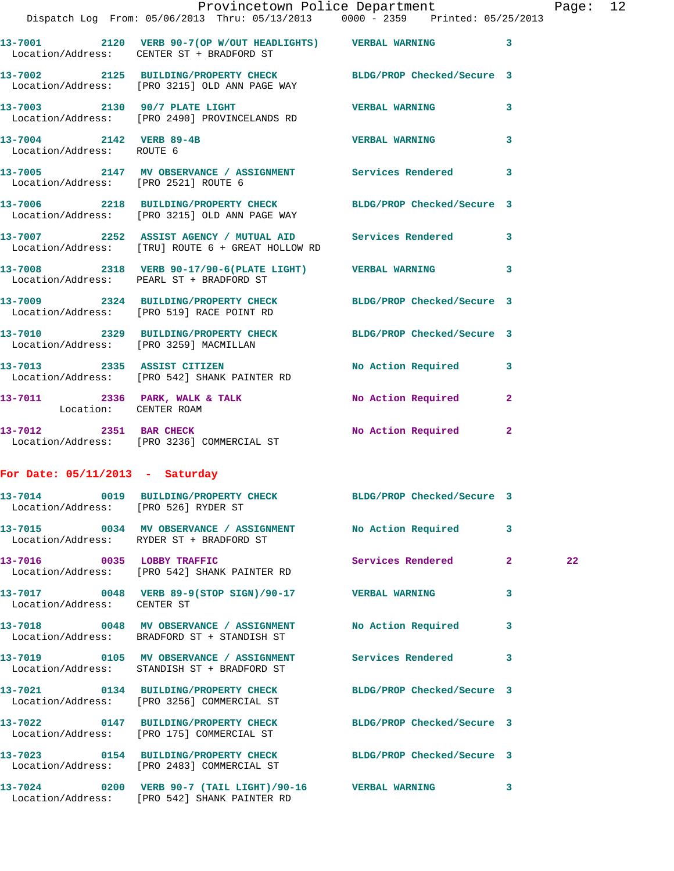|                                                      | Provincetown Police Department<br>Dispatch Log From: 05/06/2013 Thru: 05/13/2013 0000 - 2359 Printed: 05/25/2013 |                   |                | Page |
|------------------------------------------------------|------------------------------------------------------------------------------------------------------------------|-------------------|----------------|------|
|                                                      | 13-7001 2120 VERB 90-7(OP W/OUT HEADLIGHTS) VERBAL WARNING 3<br>Location/Address: CENTER ST + BRADFORD ST        |                   |                |      |
|                                                      | 13-7002 2125 BUILDING/PROPERTY CHECK BLDG/PROP Checked/Secure 3<br>Location/Address: [PRO 3215] OLD ANN PAGE WAY |                   |                |      |
|                                                      | 13-7003 2130 90/7 PLATE LIGHT VERBAL WARNING<br>Location/Address: [PRO 2490] PROVINCELANDS RD                    |                   | 3              |      |
| 13-7004 2142 VERB 89-4B<br>Location/Address: ROUTE 6 |                                                                                                                  | VERBAL WARNING    | 3              |      |
| Location/Address: [PRO 2521] ROUTE 6                 | 13-7005 2147 MV OBSERVANCE / ASSIGNMENT Services Rendered 3                                                      |                   |                |      |
|                                                      | 13-7006 2218 BUILDING/PROPERTY CHECK BLDG/PROP Checked/Secure 3<br>Location/Address: [PRO 3215] OLD ANN PAGE WAY |                   |                |      |
|                                                      | 13-7007 2252 ASSIST AGENCY / MUTUAL AID Services Rendered 3<br>Location/Address: [TRU] ROUTE 6 + GREAT HOLLOW RD |                   |                |      |
|                                                      | 13-7008 2318 VERB 90-17/90-6 (PLATE LIGHT) VERBAL WARNING<br>Location/Address: PEARL ST + BRADFORD ST            |                   | 3              |      |
|                                                      | 13-7009 2324 BUILDING/PROPERTY CHECK BLDG/PROP Checked/Secure 3<br>Location/Address: [PRO 519] RACE POINT RD     |                   |                |      |
|                                                      | 13-7010 2329 BUILDING/PROPERTY CHECK BLDG/PROP Checked/Secure 3<br>Location/Address: [PRO 3259] MACMILLAN        |                   |                |      |
|                                                      | 13-7013 2335 ASSIST CITIZEN No Action Required 3<br>Location/Address: [PRO 542] SHANK PAINTER RD                 |                   |                |      |
| Location: CENTER ROAM                                | 13-7011 2336 PARK, WALK & TALK NO Action Required                                                                |                   | $\overline{2}$ |      |
|                                                      | 13-7012 2351 BAR CHECK<br>Location/Address: [PRO 3236] COMMERCIAL ST No Action Required 2                        |                   |                |      |
| For Date: $05/11/2013$ - Saturday                    |                                                                                                                  |                   |                |      |
| Location/Address: [PRO 526] RYDER ST                 | 13-7014 0019 BUILDING/PROPERTY CHECK BLDG/PROP Checked/Secure 3                                                  |                   |                |      |
|                                                      | 13-7015 0034 MV OBSERVANCE / ASSIGNMENT No Action Required<br>Location/Address: RYDER ST + BRADFORD ST           |                   | 3              |      |
| 13-7016 0035 LOBBY TRAFFIC                           | Location/Address: [PRO 542] SHANK PAINTER RD                                                                     | Services Rendered | $\mathbf{2}$   | 22   |
| Location/Address: CENTER ST                          | 13-7017 0048 VERB 89-9(STOP SIGN)/90-17 VERBAL WARNING                                                           |                   | 3              |      |
|                                                      | 13-7018 0048 MV OBSERVANCE / ASSIGNMENT No Action Required<br>Location/Address: BRADFORD ST + STANDISH ST        |                   | 3              |      |
|                                                      | 13-7019 0105 MV OBSERVANCE / ASSIGNMENT Services Rendered<br>Location/Address: STANDISH ST + BRADFORD ST         |                   | 3              |      |
|                                                      | 13-7021 0134 BUILDING/PROPERTY CHECK BLDG/PROP Checked/Secure 3<br>Location/Address: [PRO 3256] COMMERCIAL ST    |                   |                |      |
|                                                      | 13-7022 0147 BUILDING/PROPERTY CHECK BLDG/PROP Checked/Secure 3<br>Location/Address: [PRO 175] COMMERCIAL ST     |                   |                |      |
|                                                      | 13-7023 0154 BUILDING/PROPERTY CHECK BLDG/PROP Checked/Secure 3<br>Location/Address: [PRO 2483] COMMERCIAL ST    |                   |                |      |
|                                                      | 13-7024 0200 VERB 90-7 (TAIL LIGHT)/90-16 VERBAL WARNING<br>Location/Address: [PRO 542] SHANK PAINTER RD         |                   | 3              |      |

Page: 12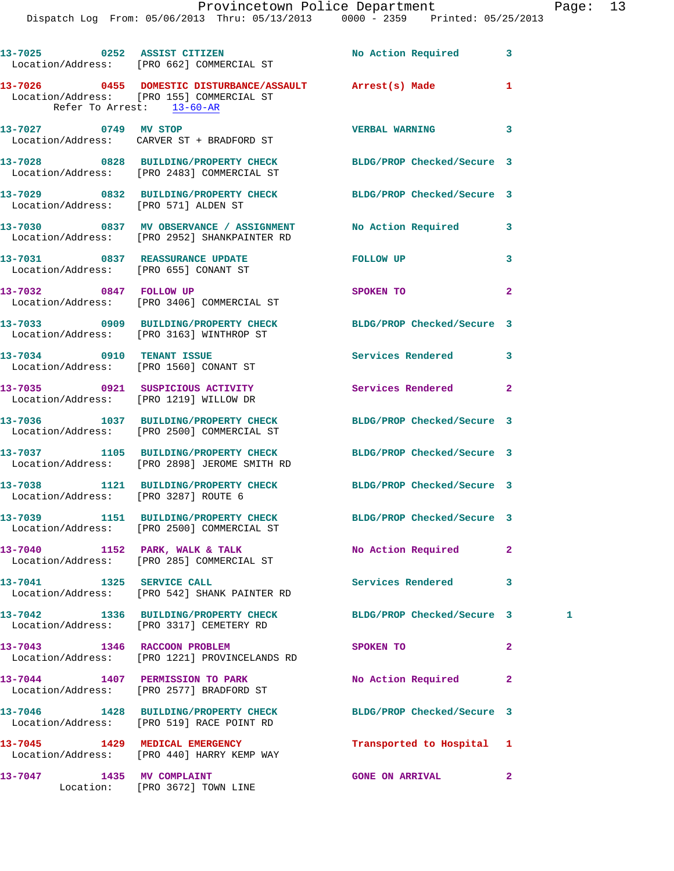|                                        | 13-7025 0252 ASSIST CITIZEN<br>Location/Address: [PRO 662] COMMERCIAL ST                                                              | No Action Required         | 3              |   |
|----------------------------------------|---------------------------------------------------------------------------------------------------------------------------------------|----------------------------|----------------|---|
|                                        | 13-7026  0455  DOMESTIC DISTURBANCE/ASSAULT  Arrest(s) Made<br>Location/Address: [PRO 155] COMMERCIAL ST<br>Refer To Arrest: 13-60-AR |                            | 1              |   |
| 13-7027 0749 MV STOP                   | Location/Address: CARVER ST + BRADFORD ST                                                                                             | <b>VERBAL WARNING</b>      | 3              |   |
|                                        | 13-7028 0828 BUILDING/PROPERTY CHECK BLDG/PROP Checked/Secure 3<br>Location/Address: [PRO 2483] COMMERCIAL ST                         |                            |                |   |
| Location/Address: [PRO 571] ALDEN ST   | 13-7029 0832 BUILDING/PROPERTY CHECK BLDG/PROP Checked/Secure 3                                                                       |                            |                |   |
|                                        | 13-7030 0837 MV OBSERVANCE / ASSIGNMENT No Action Required<br>Location/Address: [PRO 2952] SHANKPAINTER RD                            |                            | 3              |   |
|                                        | 13-7031 0837 REASSURANCE UPDATE<br>Location/Address: [PRO 655] CONANT ST                                                              | <b>FOLLOW UP</b>           | 3              |   |
|                                        | 13-7032 0847 FOLLOW UP<br>Location/Address: [PRO 3406] COMMERCIAL ST                                                                  | SPOKEN TO                  | $\mathbf{2}$   |   |
|                                        | 13-7033 0909 BUILDING/PROPERTY CHECK<br>Location/Address: [PRO 3163] WINTHROP ST                                                      | BLDG/PROP Checked/Secure 3 |                |   |
| Location/Address: [PRO 1560] CONANT ST | 13-7034 0910 TENANT ISSUE                                                                                                             | Services Rendered          | 3              |   |
| Location/Address: [PRO 1219] WILLOW DR | 13-7035 0921 SUSPICIOUS ACTIVITY                                                                                                      | Services Rendered          | $\overline{a}$ |   |
|                                        | 13-7036 1037 BUILDING/PROPERTY CHECK<br>Location/Address: [PRO 2500] COMMERCIAL ST                                                    | BLDG/PROP Checked/Secure 3 |                |   |
|                                        | 13-7037 1105 BUILDING/PROPERTY CHECK<br>Location/Address: [PRO 2898] JEROME SMITH RD                                                  | BLDG/PROP Checked/Secure 3 |                |   |
| Location/Address: [PRO 3287] ROUTE 6   | 13-7038 1121 BUILDING/PROPERTY CHECK BLDG/PROP Checked/Secure 3                                                                       |                            |                |   |
|                                        | 13-7039 1151 BUILDING/PROPERTY CHECK BLDG/PROP Checked/Secure 3<br>Location/Address: [PRO 2500] COMMERCIAL ST                         |                            |                |   |
|                                        | $13-7040$ 1152 PARK, WALK & TALK<br>Location/Address: [PRO 285] COMMERCIAL ST                                                         | No Action Required         | $\mathbf{2}$   |   |
| 13-7041 1325 SERVICE CALL              | Location/Address: [PRO 542] SHANK PAINTER RD                                                                                          | Services Rendered          | 3              |   |
|                                        | 13-7042 1336 BUILDING/PROPERTY CHECK<br>Location/Address: [PRO 3317] CEMETERY RD                                                      | BLDG/PROP Checked/Secure 3 |                | 1 |
| 13-7043 1346 RACCOON PROBLEM           | Location/Address: [PRO 1221] PROVINCELANDS RD                                                                                         | SPOKEN TO                  | $\overline{a}$ |   |
|                                        | 13-7044 1407 PERMISSION TO PARK<br>Location/Address: [PRO 2577] BRADFORD ST                                                           | No Action Required         | $\mathbf{2}$   |   |
|                                        | 13-7046 1428 BUILDING/PROPERTY CHECK BLDG/PROP Checked/Secure 3<br>Location/Address: [PRO 519] RACE POINT RD                          |                            |                |   |
|                                        | 13-7045 1429 MEDICAL EMERGENCY<br>Location/Address: [PRO 440] HARRY KEMP WAY                                                          | Transported to Hospital    | 1              |   |
| 13-7047 1435 MV COMPLAINT              | Location: [PRO 3672] TOWN LINE                                                                                                        | <b>GONE ON ARRIVAL</b>     | $\mathbf{2}$   |   |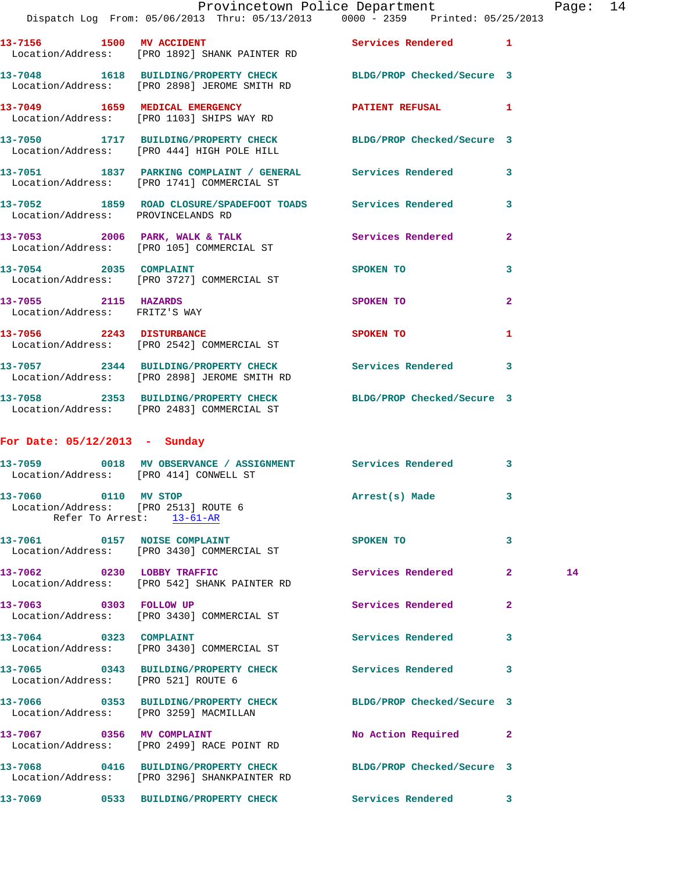|                                                       | 13-7156 1500 MV ACCIDENT<br>Location/Address: [PRO 1892] SHANK PAINTER RD                                       | Services Rendered 1        |              |    |
|-------------------------------------------------------|-----------------------------------------------------------------------------------------------------------------|----------------------------|--------------|----|
|                                                       | 13-7048 1618 BUILDING/PROPERTY CHECK BLDG/PROP Checked/Secure 3<br>Location/Address: [PRO 2898] JEROME SMITH RD |                            |              |    |
|                                                       | 13-7049 1659 MEDICAL EMERGENCY<br>Location/Address: [PRO 1103] SHIPS WAY RD                                     | PATIENT REFUSAL            | 1            |    |
|                                                       | 13-7050 1717 BUILDING/PROPERTY CHECK BLDG/PROP Checked/Secure 3<br>Location/Address: [PRO 444] HIGH POLE HILL   |                            |              |    |
|                                                       | 13-7051 1837 PARKING COMPLAINT / GENERAL Services Rendered<br>Location/Address: [PRO 1741] COMMERCIAL ST        |                            | 3            |    |
| Location/Address: PROVINCELANDS RD                    | 13-7052 1859 ROAD CLOSURE/SPADEFOOT TOADS Services Rendered                                                     |                            | 3            |    |
|                                                       | 13-7053 2006 PARK, WALK & TALK 2008 Services Rendered<br>Location/Address: [PRO 105] COMMERCIAL ST              |                            | $\mathbf{2}$ |    |
| 13-7054 2035 COMPLAINT                                | Location/Address: [PRO 3727] COMMERCIAL ST                                                                      | SPOKEN TO                  | 3            |    |
| 13-7055 2115 HAZARDS<br>Location/Address: FRITZ'S WAY |                                                                                                                 | SPOKEN TO                  | $\mathbf{2}$ |    |
|                                                       | 13-7056 2243 DISTURBANCE<br>Location/Address: [PRO 2542] COMMERCIAL ST                                          | SPOKEN TO                  | 1            |    |
|                                                       | 13-7057 2344 BUILDING/PROPERTY CHECK Services Rendered<br>Location/Address: [PRO 2898] JEROME SMITH RD          |                            | 3            |    |
|                                                       | 13-7058 2353 BUILDING/PROPERTY CHECK BLDG/PROP Checked/Secure 3<br>Location/Address: [PRO 2483] COMMERCIAL ST   |                            |              |    |
| For Date: $05/12/2013$ - Sunday                       |                                                                                                                 |                            |              |    |
|                                                       | 13-7059 0018 MV OBSERVANCE / ASSIGNMENT Services Rendered<br>Location/Address: [PRO 414] CONWELL ST             |                            | 3            |    |
| 13-7060 0110 MV STOP                                  | Location/Address: [PRO 2513] ROUTE 6<br>Refer To Arrest: 13-61-AR                                               | Arrest(s) Made             | 3            |    |
|                                                       | 13-7061 0157 NOISE COMPLAINT<br>Location/Address: [PRO 3430] COMMERCIAL ST                                      | SPOKEN TO                  | 3            |    |
| 13-7062 0230 LOBBY TRAFFIC                            | Location/Address: [PRO 542] SHANK PAINTER RD                                                                    | Services Rendered          | $\mathbf{2}$ | 14 |
| 13-7063 0303 FOLLOW UP                                | Location/Address: [PRO 3430] COMMERCIAL ST                                                                      | Services Rendered          | 2            |    |
| 13-7064 0323 COMPLAINT                                | Location/Address: [PRO 3430] COMMERCIAL ST                                                                      | Services Rendered          | 3            |    |
| Location/Address: [PRO 521] ROUTE 6                   | 13-7065 0343 BUILDING/PROPERTY CHECK                                                                            | Services Rendered          | 3            |    |
|                                                       | 13-7066 0353 BUILDING/PROPERTY CHECK<br>Location/Address: [PRO 3259] MACMILLAN                                  | BLDG/PROP Checked/Secure 3 |              |    |
| 13-7067 0356 MV COMPLAINT                             | Location/Address: [PRO 2499] RACE POINT RD                                                                      | No Action Required         | $\mathbf{2}$ |    |
|                                                       | 13-7068 0416 BUILDING/PROPERTY CHECK<br>Location/Address: [PRO 3296] SHANKPAINTER RD                            | BLDG/PROP Checked/Secure 3 |              |    |
|                                                       |                                                                                                                 |                            | 3            |    |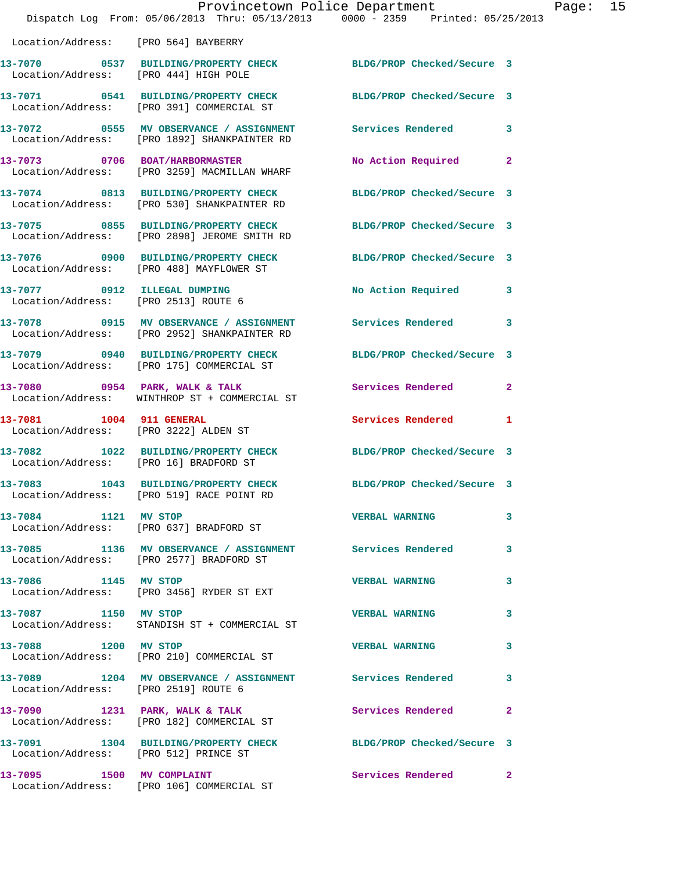|                                       | Dispatch Log From: 05/06/2013 Thru: 05/13/2013 0000 - 2359 Printed: 05/25/2013                                  | Provincetown Police Department Page: 15 |              |  |
|---------------------------------------|-----------------------------------------------------------------------------------------------------------------|-----------------------------------------|--------------|--|
| Location/Address: [PRO 564] BAYBERRY  |                                                                                                                 |                                         |              |  |
| Location/Address: [PRO 444] HIGH POLE | 13-7070 0537 BUILDING/PROPERTY CHECK BLDG/PROP Checked/Secure 3                                                 |                                         |              |  |
|                                       | 13-7071 0541 BUILDING/PROPERTY CHECK BLDG/PROP Checked/Secure 3<br>Location/Address: [PRO 391] COMMERCIAL ST    |                                         |              |  |
|                                       | 13-7072 0555 MV OBSERVANCE / ASSIGNMENT Services Rendered 3<br>Location/Address: [PRO 1892] SHANKPAINTER RD     |                                         |              |  |
|                                       | 13-7073 0706 BOAT/HARBORMASTER<br>Location/Address: [PRO 3259] MACMILLAN WHARF                                  | No Action Required 2                    |              |  |
|                                       | 13-7074 0813 BUILDING/PROPERTY CHECK BLDG/PROP Checked/Secure 3<br>Location/Address: [PRO 530] SHANKPAINTER RD  |                                         |              |  |
|                                       | 13-7075 0855 BUILDING/PROPERTY CHECK BLDG/PROP Checked/Secure 3<br>Location/Address: [PRO 2898] JEROME SMITH RD |                                         |              |  |
|                                       | 13-7076 0900 BUILDING/PROPERTY CHECK BLDG/PROP Checked/Secure 3<br>Location/Address: [PRO 488] MAYFLOWER ST     |                                         |              |  |
|                                       | 13-7077 0912 ILLEGAL DUMPING<br>Location/Address: [PRO 2513] ROUTE 6                                            | No Action Required 3                    |              |  |
|                                       | 13-7078 0915 MV OBSERVANCE / ASSIGNMENT Services Rendered 3<br>Location/Address: [PRO 2952] SHANKPAINTER RD     |                                         |              |  |
|                                       | 13-7079 0940 BUILDING/PROPERTY CHECK BLDG/PROP Checked/Secure 3<br>Location/Address: [PRO 175] COMMERCIAL ST    |                                         |              |  |
|                                       | 13-7080 0954 PARK, WALK & TALK<br>Location/Address: WINTHROP ST + COMMERCIAL ST                                 | Services Rendered                       | $\mathbf{2}$ |  |
| 13-7081 1004 911 GENERAL              | Location/Address: [PRO 3222] ALDEN ST                                                                           | Services Rendered 1                     |              |  |
|                                       | 13-7082 1022 BUILDING/PROPERTY CHECK BLDG/PROP Checked/Secure 3<br>Location/Address: [PRO 16] BRADFORD ST       |                                         |              |  |
|                                       | 13-7083 1043 BUILDING/PROPERTY CHECK<br>Location/Address: [PRO 519] RACE POINT RD                               | BLDG/PROP Checked/Secure 3              |              |  |
| 13-7084 1121 MV STOP                  | Location/Address: [PRO 637] BRADFORD ST                                                                         | <b>VERBAL WARNING</b>                   | 3            |  |
|                                       | 13-7085 1136 MV OBSERVANCE / ASSIGNMENT Services Rendered<br>Location/Address: [PRO 2577] BRADFORD ST           |                                         | $\mathbf{3}$ |  |
|                                       | 13-7086 1145 MV STOP<br>Location/Address: [PRO 3456] RYDER ST EXT                                               | <b>VERBAL WARNING</b>                   | 3            |  |
| 13-7087 1150 MV STOP                  | Location/Address: STANDISH ST + COMMERCIAL ST                                                                   | <b>VERBAL WARNING</b>                   | 3            |  |
|                                       | 13-7088 1200 MV STOP<br>Location/Address: [PRO 210] COMMERCIAL ST                                               | <b>VERBAL WARNING</b>                   | 3            |  |
| Location/Address: [PRO 2519] ROUTE 6  | 13-7089 1204 MV OBSERVANCE / ASSIGNMENT Services Rendered 3                                                     |                                         |              |  |
|                                       | 13-7090 1231 PARK, WALK & TALK 1988 Services Rendered<br>Location/Address: [PRO 182] COMMERCIAL ST              |                                         | $\mathbf{2}$ |  |
|                                       | 13-7091 1304 BUILDING/PROPERTY CHECK BLDG/PROP Checked/Secure 3<br>Location/Address: [PRO 512] PRINCE ST        |                                         |              |  |
|                                       | 13-7095 1500 MV COMPLAINT<br>Location/Address: [PRO 106] COMMERCIAL ST                                          | Services Rendered 2                     |              |  |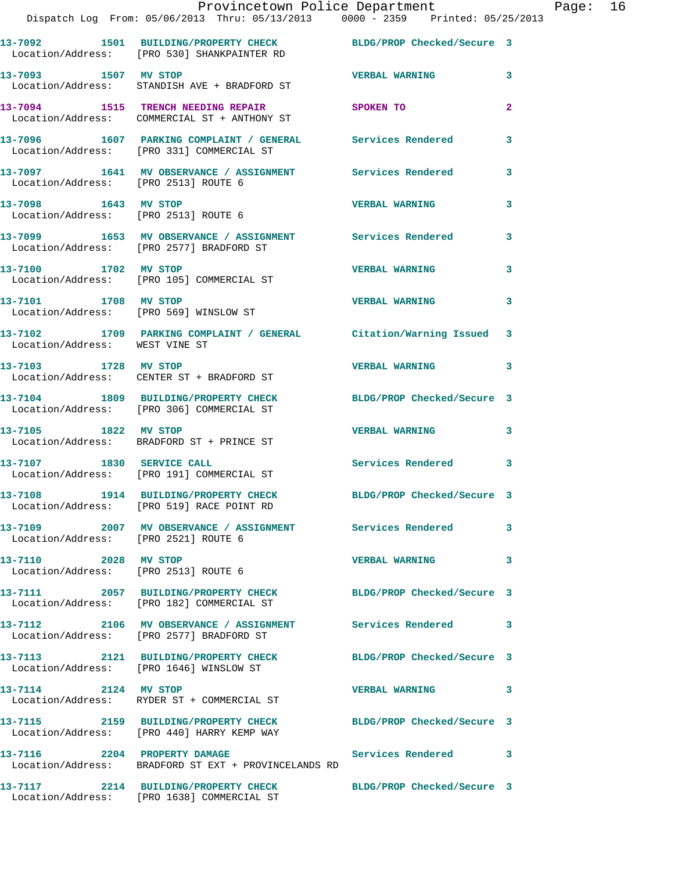|                                      | Provincetown Police Department<br>Dispatch Log From: 05/06/2013 Thru: 05/13/2013 0000 - 2359 Printed: 05/25/2013 |                            |              | Page: 16 |  |
|--------------------------------------|------------------------------------------------------------------------------------------------------------------|----------------------------|--------------|----------|--|
|                                      | 13-7092 1501 BUILDING/PROPERTY CHECK BLDG/PROP Checked/Secure 3<br>Location/Address: [PRO 530] SHANKPAINTER RD   |                            |              |          |  |
| 13-7093 1507 MV STOP                 | Location/Address: STANDISH AVE + BRADFORD ST                                                                     | <b>VERBAL WARNING 3</b>    |              |          |  |
|                                      |                                                                                                                  |                            | $\mathbf{2}$ |          |  |
|                                      | 13-7096 1607 PARKING COMPLAINT / GENERAL Services Rendered<br>Location/Address: [PRO 331] COMMERCIAL ST          |                            | 3            |          |  |
| Location/Address: [PRO 2513] ROUTE 6 | 13-7097 1641 MV OBSERVANCE / ASSIGNMENT Services Rendered 3                                                      |                            |              |          |  |
| Location/Address: [PRO 2513] ROUTE 6 | 13-7098 1643 MV STOP                                                                                             | <b>VERBAL WARNING</b>      | 3            |          |  |
|                                      | 13-7099 1653 MV OBSERVANCE / ASSIGNMENT Services Rendered 3<br>Location/Address: [PRO 2577] BRADFORD ST          |                            |              |          |  |
|                                      | 13-7100 1702 MV STOP<br>Location/Address: [PRO 105] COMMERCIAL ST                                                | <b>VERBAL WARNING</b>      | 3            |          |  |
| 13-7101 1708 MV STOP                 | Location/Address: [PRO 569] WINSLOW ST                                                                           | <b>VERBAL WARNING</b> 3    |              |          |  |
| Location/Address: WEST VINE ST       | 13-7102 1709 PARKING COMPLAINT / GENERAL Citation/Warning Issued 3                                               |                            |              |          |  |
| 13-7103 1728 MV STOP                 | Location/Address: CENTER ST + BRADFORD ST                                                                        | VERBAL WARNING 3           |              |          |  |
|                                      | 13-7104 1809 BUILDING/PROPERTY CHECK BLDG/PROP Checked/Secure 3<br>Location/Address: [PRO 306] COMMERCIAL ST     |                            |              |          |  |
| 13-7105 1822 MV STOP                 | Location/Address: BRADFORD ST + PRINCE ST                                                                        | VERBAL WARNING 3           |              |          |  |
|                                      | 13-7107 1830 SERVICE CALL<br>Location/Address: [PRO 191] COMMERCIAL ST                                           | Services Rendered 3        |              |          |  |
|                                      | 13-7108 1914 BUILDING/PROPERTY CHECK<br>Location/Address: [PRO 519] RACE POINT RD                                | BLDG/PROP Checked/Secure 3 |              |          |  |
| Location/Address: [PRO 2521] ROUTE 6 | 13-7109 2007 MV OBSERVANCE / ASSIGNMENT Services Rendered                                                        |                            | 3            |          |  |
| 13-7110 2028 MV STOP                 | Location/Address: [PRO 2513] ROUTE 6                                                                             | <b>VERBAL WARNING</b>      | 3            |          |  |
|                                      | 13-7111 2057 BUILDING/PROPERTY CHECK BLDG/PROP Checked/Secure 3<br>Location/Address: [PRO 182] COMMERCIAL ST     |                            |              |          |  |
|                                      | 13-7112 2106 MV OBSERVANCE / ASSIGNMENT Services Rendered 3<br>Location/Address: [PRO 2577] BRADFORD ST          |                            |              |          |  |
|                                      | 13-7113 2121 BUILDING/PROPERTY CHECK BLDG/PROP Checked/Secure 3<br>Location/Address: [PRO 1646] WINSLOW ST       |                            |              |          |  |
| 13-7114 2124 MV STOP                 | Location/Address: RYDER ST + COMMERCIAL ST                                                                       | VERBAL WARNING 3           |              |          |  |
|                                      | 13-7115 2159 BUILDING/PROPERTY CHECK BLDG/PROP Checked/Secure 3<br>Location/Address: [PRO 440] HARRY KEMP WAY    |                            |              |          |  |
|                                      | 13-7116 2204 PROPERTY DAMAGE<br>Location/Address: BRADFORD ST EXT + PROVINCELANDS RD                             | Services Rendered 3        |              |          |  |
|                                      | 13-7117 2214 BUILDING/PROPERTY CHECK BLDG/PROP Checked/Secure 3                                                  |                            |              |          |  |

Location/Address: [PRO 1638] COMMERCIAL ST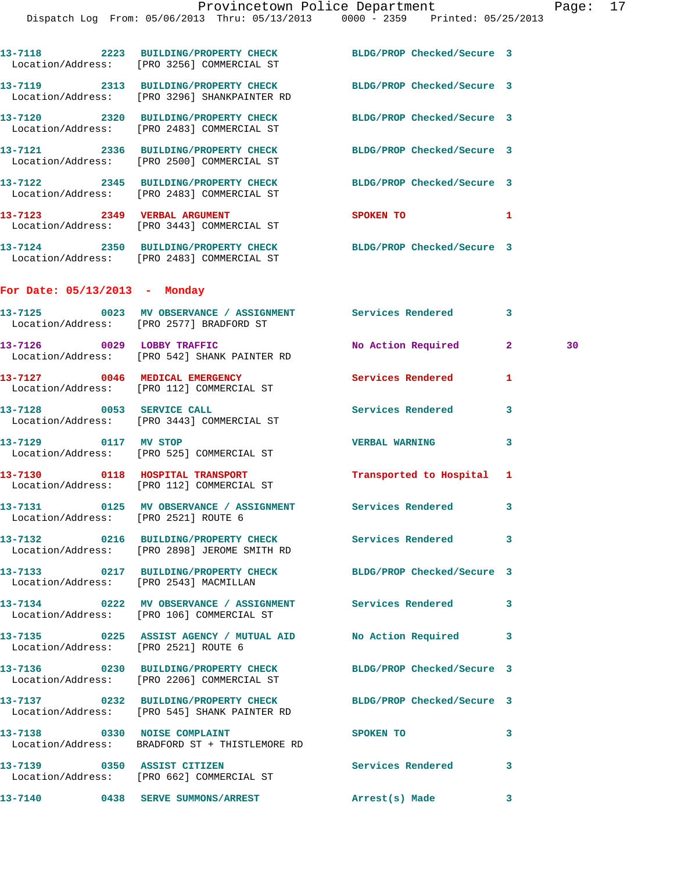|                                      | 13-7118 2223 BUILDING/PROPERTY CHECK BLDG/PROP Checked/Secure 3<br>Location/Address: [PRO 3256] COMMERCIAL ST   |                            |              |    |
|--------------------------------------|-----------------------------------------------------------------------------------------------------------------|----------------------------|--------------|----|
|                                      | 13-7119 2313 BUILDING/PROPERTY CHECK BLDG/PROP Checked/Secure 3<br>Location/Address: [PRO 3296] SHANKPAINTER RD |                            |              |    |
|                                      | 13-7120 2320 BUILDING/PROPERTY CHECK<br>Location/Address: [PRO 2483] COMMERCIAL ST                              | BLDG/PROP Checked/Secure 3 |              |    |
|                                      | 13-7121 2336 BUILDING/PROPERTY CHECK<br>Location/Address: [PRO 2500] COMMERCIAL ST                              | BLDG/PROP Checked/Secure 3 |              |    |
|                                      | 13-7122 2345 BUILDING/PROPERTY CHECK<br>Location/Address: [PRO 2483] COMMERCIAL ST                              | BLDG/PROP Checked/Secure 3 |              |    |
|                                      | 13-7123 2349 VERBAL ARGUMENT<br>Location/Address: [PRO 3443] COMMERCIAL ST                                      | <b>SPOKEN TO</b>           | 1            |    |
|                                      | 13-7124 2350 BUILDING/PROPERTY CHECK<br>Location/Address: [PRO 2483] COMMERCIAL ST                              | BLDG/PROP Checked/Secure 3 |              |    |
| For Date: $05/13/2013$ - Monday      |                                                                                                                 |                            |              |    |
|                                      | 13-7125 0023 MV OBSERVANCE / ASSIGNMENT Services Rendered 3<br>Location/Address: [PRO 2577] BRADFORD ST         |                            |              |    |
|                                      | 13-7126 0029 LOBBY TRAFFIC<br>Location/Address: [PRO 542] SHANK PAINTER RD                                      | No Action Required         | $\mathbf{2}$ | 30 |
|                                      | 13-7127 0046 MEDICAL EMERGENCY<br>Location/Address: [PRO 112] COMMERCIAL ST                                     | <b>Services Rendered</b>   | 1            |    |
|                                      | 13-7128 0053 SERVICE CALL<br>Location/Address: [PRO 3443] COMMERCIAL ST                                         | Services Rendered          | 3            |    |
| 13-7129 0117 MV STOP                 | Location/Address: [PRO 525] COMMERCIAL ST                                                                       | <b>VERBAL WARNING</b>      | 3            |    |
|                                      | 13-7130 0118 HOSPITAL TRANSPORT<br>Location/Address: [PRO 112] COMMERCIAL ST                                    | Transported to Hospital 1  |              |    |
|                                      | 13-7131 0125 MV OBSERVANCE / ASSIGNMENT Services Rendered 3<br>Location/Address: [PRO 2521] ROUTE 6             |                            |              |    |
|                                      | 13-7132 0216 BUILDING/PROPERTY CHECK Services Rendered 3<br>Location/Address: [PRO 2898] JEROME SMITH RD        |                            |              |    |
|                                      | 13-7133 0217 BUILDING/PROPERTY CHECK BLDG/PROP Checked/Secure 3<br>Location/Address: [PRO 2543] MACMILLAN       |                            |              |    |
|                                      | 13-7134 6222 MV OBSERVANCE / ASSIGNMENT Services Rendered<br>Location/Address: [PRO 106] COMMERCIAL ST          |                            | $\mathbf{3}$ |    |
| Location/Address: [PRO 2521] ROUTE 6 | 13-7135 0225 ASSIST AGENCY / MUTUAL AID No Action Required 3                                                    |                            |              |    |
|                                      | 13-7136 0230 BUILDING/PROPERTY CHECK BLDG/PROP Checked/Secure 3<br>Location/Address: [PRO 2206] COMMERCIAL ST   |                            |              |    |
|                                      | 13-7137 0232 BUILDING/PROPERTY CHECK BLDG/PROP Checked/Secure 3<br>Location/Address: [PRO 545] SHANK PAINTER RD |                            |              |    |
|                                      | 13-7138 0330 NOISE COMPLAINT<br>Location/Address: BRADFORD ST + THISTLEMORE RD                                  | SPOKEN TO                  | 3            |    |
|                                      | 13-7139 0350 ASSIST CITIZEN<br>Location/Address: [PRO 662] COMMERCIAL ST                                        | Services Rendered 3        |              |    |
|                                      | 13-7140 6438 SERVE SUMMONS/ARREST Arrest(s) Made                                                                |                            | 3            |    |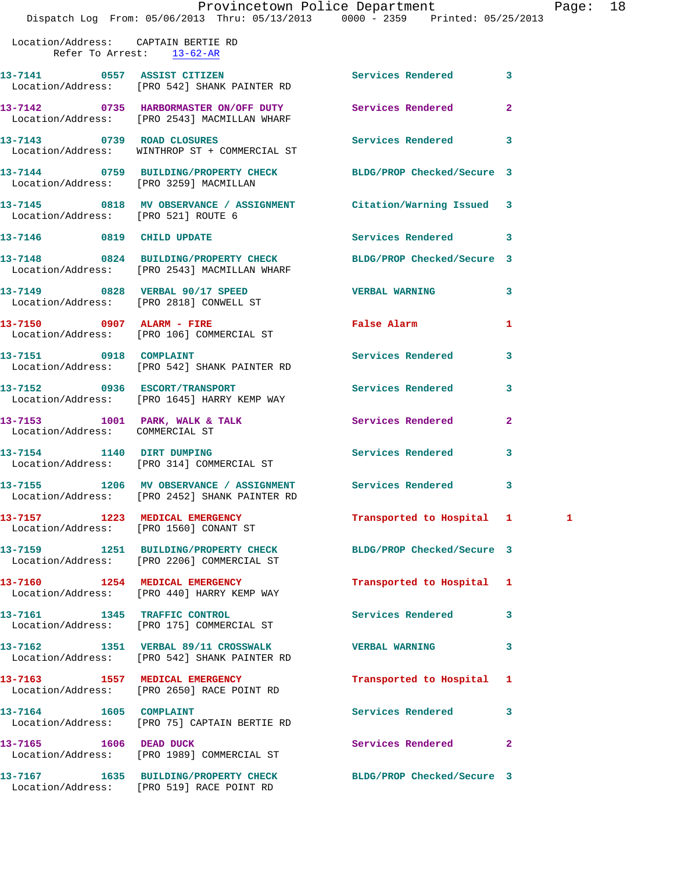## Provincetown Police Department Page: 18

Dispatch Log From: 05/06/2013 Thru: 05/13/2013 0000 - 2359 Printed: 05/25/2013

 Location/Address: CAPTAIN BERTIE RD Refer To Arrest: 13-62-AR

| 13-7141 0557 ASSIST CITIZEN            | Location/Address: [PRO 542] SHANK PAINTER RD                                                                    | Services Rendered          | 3              |   |
|----------------------------------------|-----------------------------------------------------------------------------------------------------------------|----------------------------|----------------|---|
|                                        | 13-7142 0735 HARBORMASTER ON/OFF DUTY Services Rendered<br>Location/Address: [PRO 2543] MACMILLAN WHARF         |                            | $\overline{a}$ |   |
|                                        | 13-7143 0739 ROAD CLOSURES<br>Location/Address: WINTHROP ST + COMMERCIAL ST                                     | Services Rendered          | 3              |   |
| Location/Address: [PRO 3259] MACMILLAN | 13-7144 0759 BUILDING/PROPERTY CHECK BLDG/PROP Checked/Secure 3                                                 |                            |                |   |
| Location/Address: [PRO 521] ROUTE 6    | 13-7145 0818 MV OBSERVANCE / ASSIGNMENT Citation/Warning Issued 3                                               |                            |                |   |
| 13-7146 0819 CHILD UPDATE              |                                                                                                                 | Services Rendered          | 3              |   |
|                                        | 13-7148 0824 BUILDING/PROPERTY CHECK BLDG/PROP Checked/Secure 3<br>Location/Address: [PRO 2543] MACMILLAN WHARF |                            |                |   |
|                                        | 13-7149 0828 VERBAL 90/17 SPEED<br>Location/Address: [PRO 2818] CONWELL ST                                      | <b>VERBAL WARNING</b>      | 3              |   |
|                                        | 13-7150 0907 ALARM - FIRE<br>Location/Address: [PRO 106] COMMERCIAL ST                                          | <b>False Alarm</b>         | 1              |   |
| 13-7151 0918 COMPLAINT                 | Location/Address: [PRO 542] SHANK PAINTER RD                                                                    | Services Rendered          | 3              |   |
|                                        | 13-7152 0936 ESCORT/TRANSPORT<br>Location/Address: [PRO 1645] HARRY KEMP WAY                                    | Services Rendered          | 3              |   |
| Location/Address: COMMERCIAL ST        | 13-7153 1001 PARK, WALK & TALK 1998 Services Rendered                                                           |                            | $\overline{2}$ |   |
|                                        | 13-7154 1140 DIRT DUMPING<br>Location/Address: [PRO 314] COMMERCIAL ST                                          | Services Rendered          | 3              |   |
|                                        | 13-7155 1206 MV OBSERVANCE / ASSIGNMENT Services Rendered<br>Location/Address: [PRO 2452] SHANK PAINTER RD      |                            | 3              |   |
|                                        | 13-7157 1223 MEDICAL EMERGENCY<br>Location/Address: [PRO 1560] CONANT ST                                        | Transported to Hospital 1  |                | 1 |
|                                        | 13-7159 1251 BUILDING/PROPERTY CHECK BLDG/PROP Checked/Secure 3<br>Location/Address: [PRO 2206] COMMERCIAL ST   |                            |                |   |
|                                        | Location/Address: [PRO 440] HARRY KEMP WAY                                                                      | Transported to Hospital    | 1              |   |
|                                        | 13-7161 1345 TRAFFIC CONTROL<br>Location/Address: [PRO 175] COMMERCIAL ST                                       | Services Rendered          | 3              |   |
|                                        | 13-7162 1351 VERBAL 89/11 CROSSWALK<br>Location/Address: [PRO 542] SHANK PAINTER RD                             | <b>VERBAL WARNING</b>      | 3              |   |
|                                        | 13-7163 1557 MEDICAL EMERGENCY<br>Location/Address: [PRO 2650] RACE POINT RD                                    | Transported to Hospital    | 1              |   |
| 13-7164 1605 COMPLAINT                 | Location/Address: [PRO 75] CAPTAIN BERTIE RD                                                                    | Services Rendered          | 3              |   |
| 13-7165 1606 DEAD DUCK                 | Location/Address: [PRO 1989] COMMERCIAL ST                                                                      | Services Rendered          | $\mathbf{2}$   |   |
|                                        | 13-7167 1635 BUILDING/PROPERTY CHECK<br>Location/Address: [PRO 519] RACE POINT RD                               | BLDG/PROP Checked/Secure 3 |                |   |